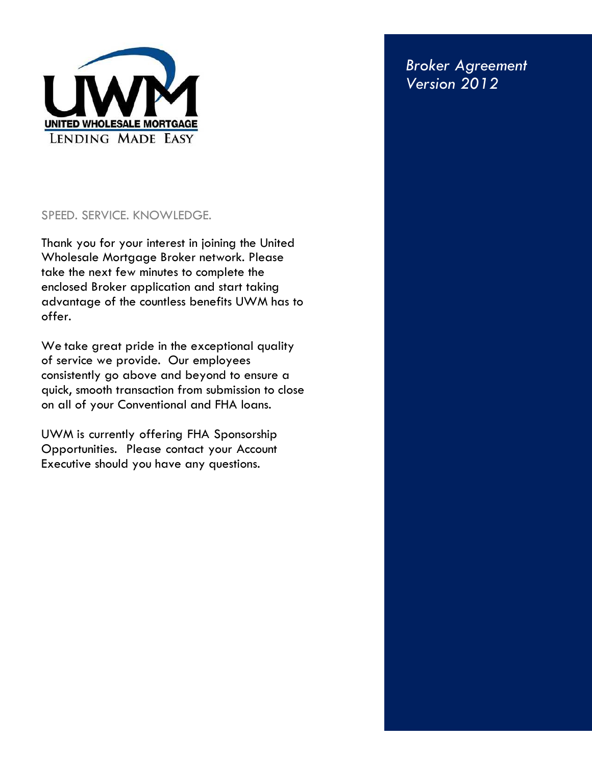

SPEED. SERVICE. KNOWLEDGE.

Thank you for your interest in joining the United Wholesale Mortgage Broker network. Please take the next few minutes to complete the enclosed Broker application and start taking advantage of the countless benefits UWM has to offer.

We take great pride in the exceptional quality of service we provide. Our employees consistently go above and beyond to ensure a quick, smooth transaction from submission to close on all of your Conventional and FHA loans.

UWM is currently offering FHA Sponsorship Opportunities. Please contact your Account Executive should you have any questions.

*Broker Agreement Version 2012*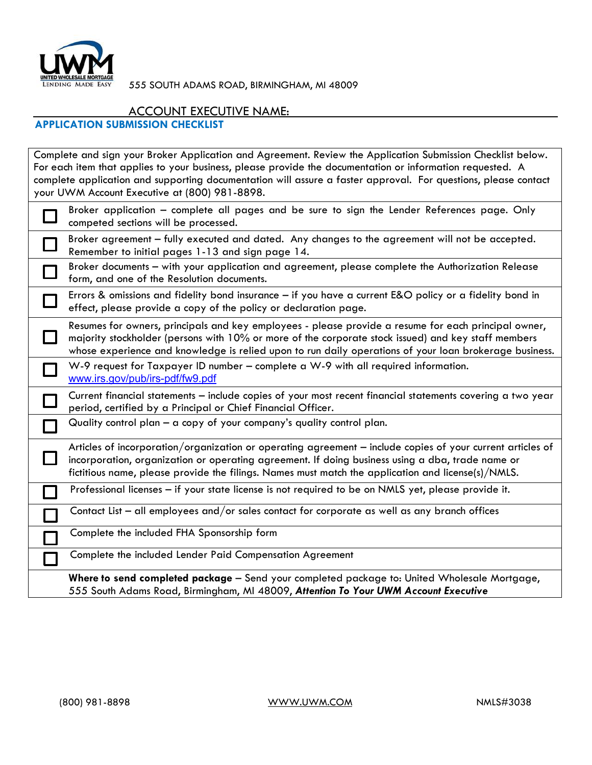

#### **LENDING MADE EASY** 555 SOUTH ADAMS ROAD, BIRMINGHAM, MI 48009

# ACCOUNT EXECUTIVE NAME:

# **APPLICATION SUBMISSION CHECKLIST**

| Complete and sign your Broker Application and Agreement. Review the Application Submission Checklist below.<br>For each item that applies to your business, please provide the documentation or information requested. A<br>complete application and supporting documentation will assure a faster approval. For questions, please contact<br>your UWM Account Executive at (800) 981-8898. |
|---------------------------------------------------------------------------------------------------------------------------------------------------------------------------------------------------------------------------------------------------------------------------------------------------------------------------------------------------------------------------------------------|
| Broker application – complete all pages and be sure to sign the Lender References page. Only<br>competed sections will be processed.                                                                                                                                                                                                                                                        |
| Broker agreement - fully executed and dated. Any changes to the agreement will not be accepted.<br>Remember to initial pages 1-13 and sign page 14.                                                                                                                                                                                                                                         |
| Broker documents - with your application and agreement, please complete the Authorization Release<br>form, and one of the Resolution documents.                                                                                                                                                                                                                                             |
| Errors & omissions and fidelity bond insurance - if you have a current E&O policy or a fidelity bond in<br>effect, please provide a copy of the policy or declaration page.                                                                                                                                                                                                                 |
| Resumes for owners, principals and key employees - please provide a resume for each principal owner,<br>majority stockholder (persons with 10% or more of the corporate stock issued) and key staff members<br>whose experience and knowledge is relied upon to run daily operations of your loan brokerage business.                                                                       |
| W-9 request for Taxpayer ID number - complete a W-9 with all required information.<br>www.irs.gov/pub/irs-pdf/fw9.pdf                                                                                                                                                                                                                                                                       |
| Current financial statements - include copies of your most recent financial statements covering a two year<br>period, certified by a Principal or Chief Financial Officer.                                                                                                                                                                                                                  |
| Quality control plan - a copy of your company's quality control plan.                                                                                                                                                                                                                                                                                                                       |
| Articles of incorporation/organization or operating agreement - include copies of your current articles of<br>incorporation, organization or operating agreement. If doing business using a dba, trade name or<br>fictitious name, please provide the filings. Names must match the application and license(s)/NMLS.                                                                        |
| Professional licenses - if your state license is not required to be on NMLS yet, please provide it.                                                                                                                                                                                                                                                                                         |
| Contact List - all employees and/or sales contact for corporate as well as any branch offices                                                                                                                                                                                                                                                                                               |
| Complete the included FHA Sponsorship form                                                                                                                                                                                                                                                                                                                                                  |
| Complete the included Lender Paid Compensation Agreement                                                                                                                                                                                                                                                                                                                                    |
| Where to send completed package - Send your completed package to: United Wholesale Mortgage,<br>555 South Adams Road, Birmingham, MI 48009, Attention To Your UWM Account Executive                                                                                                                                                                                                         |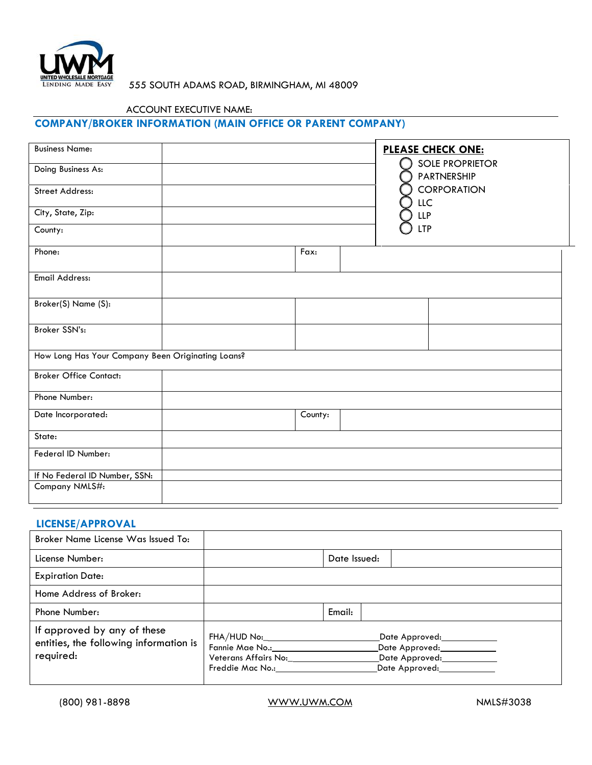

#### ACCOUNT EXECUTIVE NAME:

# **COMPANY/BROKER INFORMATION (MAIN OFFICE OR PARENT COMPANY)**

| <b>Business Name:</b>                             |         | <b>PLEASE CHECK ONE:</b>              |
|---------------------------------------------------|---------|---------------------------------------|
| Doing Business As:                                |         | <b>SOLE PROPRIETOR</b><br>PARTNERSHIP |
| <b>Street Address:</b>                            |         | <b>CORPORATION</b><br>LLC             |
| City, State, Zip:                                 |         | <b>LLP</b>                            |
| County:                                           |         | <b>LTP</b>                            |
| Phone:                                            | Fax:    |                                       |
| <b>Email Address:</b>                             |         |                                       |
| Broker(S) Name (S):                               |         |                                       |
| Broker SSN's:                                     |         |                                       |
| How Long Has Your Company Been Originating Loans? |         |                                       |
| <b>Broker Office Contact:</b>                     |         |                                       |
| Phone Number:                                     |         |                                       |
| Date Incorporated:                                | County: |                                       |
| State:                                            |         |                                       |
| Federal ID Number:                                |         |                                       |
| If No Federal ID Number, SSN:                     |         |                                       |
| Company NMLS#:                                    |         |                                       |

### **LICENSE/APPROVAL**

| Broker Name License Was Issued To:                                                 |                                                                            |              |                                                                                           |
|------------------------------------------------------------------------------------|----------------------------------------------------------------------------|--------------|-------------------------------------------------------------------------------------------|
| License Number:                                                                    |                                                                            | Date Issued: |                                                                                           |
| <b>Expiration Date:</b>                                                            |                                                                            |              |                                                                                           |
| Home Address of Broker:                                                            |                                                                            |              |                                                                                           |
| Phone Number:                                                                      |                                                                            | Email:       |                                                                                           |
| If approved by any of these<br>entities, the following information is<br>required: | FHA/HUD No:<br>Fannie Mae No.:<br>Veterans Affairs No:<br>Freddie Mac No.: |              | Date Approved:_________<br>Date Approved:<br>Date Approved:____________<br>Date Approved: |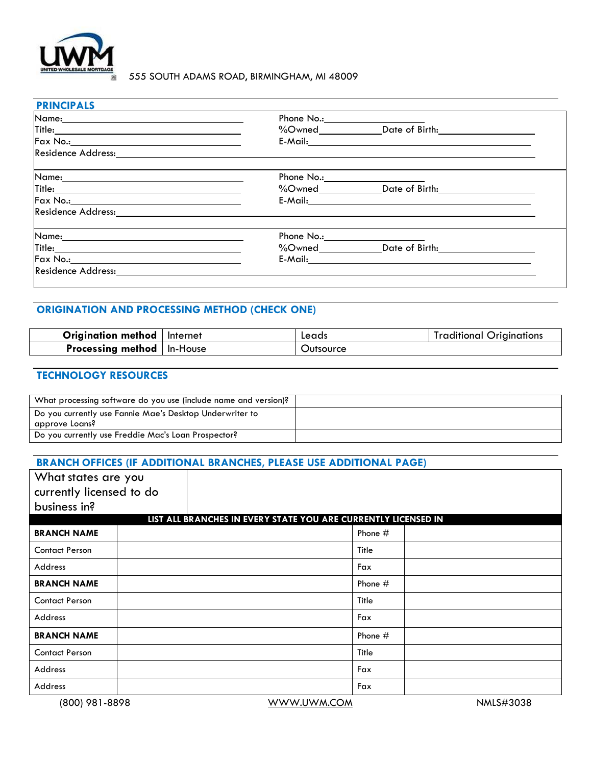

|                               | Phone No.: ______________________         |  |
|-------------------------------|-------------------------------------------|--|
|                               | %Owned Date of Birth: 2008 Date of Birth: |  |
|                               |                                           |  |
|                               |                                           |  |
|                               | Phone $No.$                               |  |
|                               |                                           |  |
|                               |                                           |  |
|                               |                                           |  |
| Phone No.:___________________ |                                           |  |
|                               |                                           |  |
|                               |                                           |  |
|                               |                                           |  |

# **ORIGINATION AND PROCESSING METHOD (CHECK ONE)**

| Origination method                  | Internet | Leads     | Traditional Oriainations |
|-------------------------------------|----------|-----------|--------------------------|
| <b>Processing method</b>   In-House |          | Outsource |                          |

#### **TECHNOLOGY RESOURCES**

| What processing software do you use (include name and version)?            |  |
|----------------------------------------------------------------------------|--|
| Do you currently use Fannie Mae's Desktop Underwriter to<br>approve Loans? |  |
| Do you currently use Freddie Mac's Loan Prospector?                        |  |

#### **BRANCH OFFICES (IF ADDITIONAL BRANCHES, PLEASE USE ADDITIONAL PAGE)**

| What states are you<br>currently licensed to do |                                                                |           |  |
|-------------------------------------------------|----------------------------------------------------------------|-----------|--|
| business in?                                    |                                                                |           |  |
|                                                 | LIST ALL BRANCHES IN EVERY STATE YOU ARE CURRENTLY LICENSED IN |           |  |
| <b>BRANCH NAME</b>                              |                                                                | Phone $#$ |  |
| <b>Contact Person</b>                           |                                                                | Title     |  |
| Address                                         |                                                                | Fax       |  |
| <b>BRANCH NAME</b>                              |                                                                | Phone #   |  |
| <b>Contact Person</b>                           |                                                                | Title     |  |
| Address                                         |                                                                | Fax       |  |
| <b>BRANCH NAME</b>                              |                                                                | Phone $#$ |  |
| <b>Contact Person</b>                           |                                                                | Title     |  |
| Address                                         |                                                                | Fax       |  |
| Address                                         |                                                                | Fax       |  |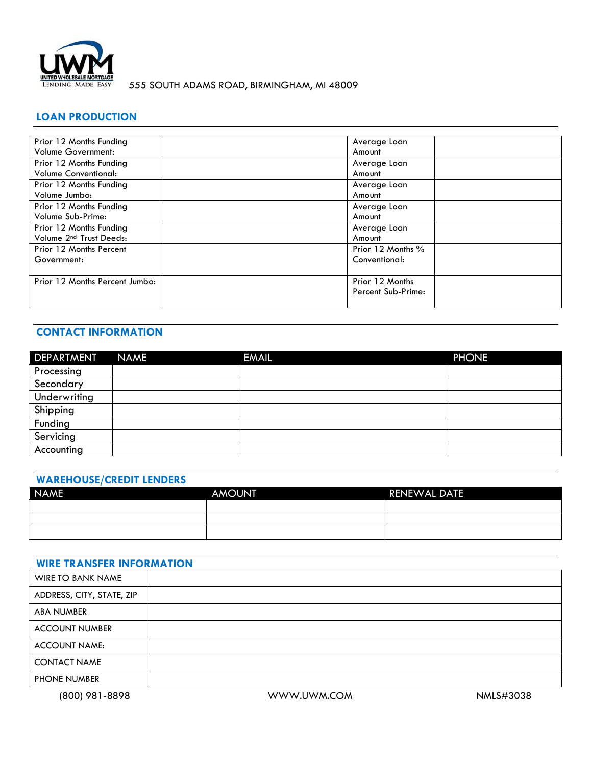

#### **LOAN PRODUCTION**

| Prior 12 Months Funding             | Average Loan       |
|-------------------------------------|--------------------|
| <b>Volume Government:</b>           | Amount             |
| Prior 12 Months Funding             | Average Loan       |
| <b>Volume Conventional:</b>         | Amount             |
| Prior 12 Months Funding             | Average Loan       |
| Volume Jumbo:                       | Amount             |
| Prior 12 Months Funding             | Average Loan       |
| Volume Sub-Prime:                   | Amount             |
| Prior 12 Months Funding             | Average Loan       |
| Volume 2 <sup>nd</sup> Trust Deeds: | Amount             |
| Prior 12 Months Percent             | Prior 12 Months %  |
| Government:                         | Conventional:      |
|                                     |                    |
| Prior 12 Months Percent Jumbo:      | Prior 12 Months    |
|                                     | Percent Sub-Prime: |
|                                     |                    |
|                                     |                    |

# **CONTACT INFORMATION**

| <b>DEPARTMENT</b> | <b>NAME</b> | <b>EMAIL</b> | <b>PHONE</b> |
|-------------------|-------------|--------------|--------------|
| Processing        |             |              |              |
| Secondary         |             |              |              |
| Underwriting      |             |              |              |
| Shipping          |             |              |              |
| Funding           |             |              |              |
| Servicing         |             |              |              |
| Accounting        |             |              |              |

# **WAREHOUSE/CREDIT LENDERS**

| <b>NAME</b> | <b>AMOUNT</b> | RENEWAL DATE |
|-------------|---------------|--------------|
|             |               |              |
|             |               |              |
|             |               |              |

| <b>WIRE TRANSFER INFORMATION</b> |             |           |
|----------------------------------|-------------|-----------|
| WIRE TO BANK NAME                |             |           |
| ADDRESS, CITY, STATE, ZIP        |             |           |
| <b>ABA NUMBER</b>                |             |           |
| <b>ACCOUNT NUMBER</b>            |             |           |
| <b>ACCOUNT NAME:</b>             |             |           |
| <b>CONTACT NAME</b>              |             |           |
| <b>PHONE NUMBER</b>              |             |           |
| (800) 981-8898                   | WWW.UWM.COM | NMLS#3038 |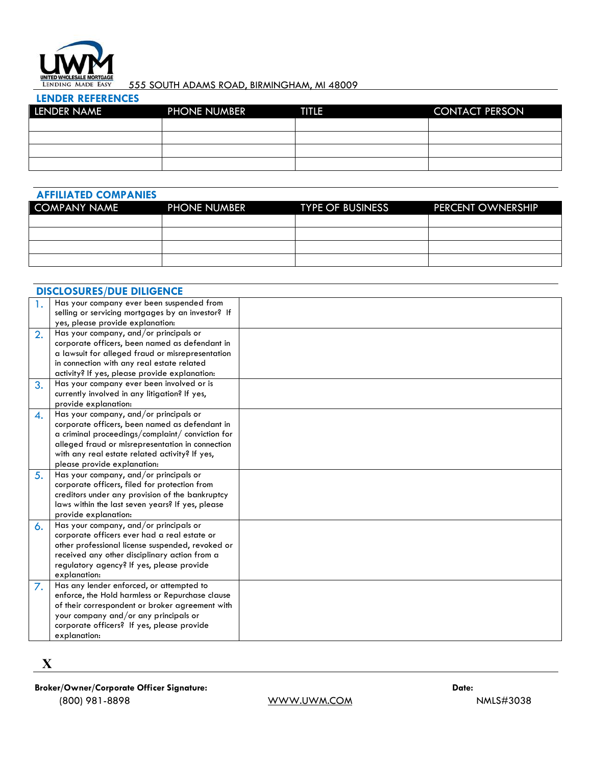

#### LENDING MADE EASY 555 SOUTH ADAMS ROAD, BIRMINGHAM, MI 48009

| ------------------------ |                     |       |                       |
|--------------------------|---------------------|-------|-----------------------|
| <b>LENDER NAME</b>       | <b>PHONE NUMBER</b> | TITLE | <b>CONTACT PERSON</b> |
|                          |                     |       |                       |
|                          |                     |       |                       |
|                          |                     |       |                       |
|                          |                     |       |                       |

| <b>AFFILIATED COMPANIES</b>       |                     |                         |                   |
|-----------------------------------|---------------------|-------------------------|-------------------|
| <b>COMPANY NAME</b><br>$\sqrt{2}$ | <b>PHONE NUMBER</b> | <b>TYPE OF BUSINESS</b> | PERCENT OWNERSHIP |
|                                   |                     |                         |                   |
|                                   |                     |                         |                   |
|                                   |                     |                         |                   |
|                                   |                     |                         |                   |

|    | <b>DISCLOSURES/DUE DILIGENCE</b>                  |  |
|----|---------------------------------------------------|--|
| 1. | Has your company ever been suspended from         |  |
|    | selling or servicing mortgages by an investor? If |  |
|    | yes, please provide explanation:                  |  |
| 2. | Has your company, and/or principals or            |  |
|    | corporate officers, been named as defendant in    |  |
|    | a lawsuit for alleged fraud or misrepresentation  |  |
|    | in connection with any real estate related        |  |
|    | activity? If yes, please provide explanation:     |  |
| 3. | Has your company ever been involved or is         |  |
|    | currently involved in any litigation? If yes,     |  |
|    | provide explanation:                              |  |
| 4. | Has your company, and/or principals or            |  |
|    | corporate officers, been named as defendant in    |  |
|    | a criminal proceedings/complaint/ conviction for  |  |
|    | alleged fraud or misrepresentation in connection  |  |
|    | with any real estate related activity? If yes,    |  |
|    | please provide explanation:                       |  |
| 5. | Has your company, and/or principals or            |  |
|    | corporate officers, filed for protection from     |  |
|    | creditors under any provision of the bankruptcy   |  |
|    | laws within the last seven years? If yes, please  |  |
|    | provide explanation:                              |  |
| 6. | Has your company, and/or principals or            |  |
|    | corporate officers ever had a real estate or      |  |
|    | other professional license suspended, revoked or  |  |
|    | received any other disciplinary action from a     |  |
|    | regulatory agency? If yes, please provide         |  |
|    | explanation:                                      |  |
| 7. | Has any lender enforced, or attempted to          |  |
|    | enforce, the Hold harmless or Repurchase clause   |  |
|    | of their correspondent or broker agreement with   |  |
|    | your company and/or any principals or             |  |
|    | corporate officers? If yes, please provide        |  |
|    | explanation:                                      |  |

# **X**

**Broker/Owner/Corporate Officer Signature: Date:** (800) 981-8898 MMLS#3038 MWW.UWM.COM NMLS#3038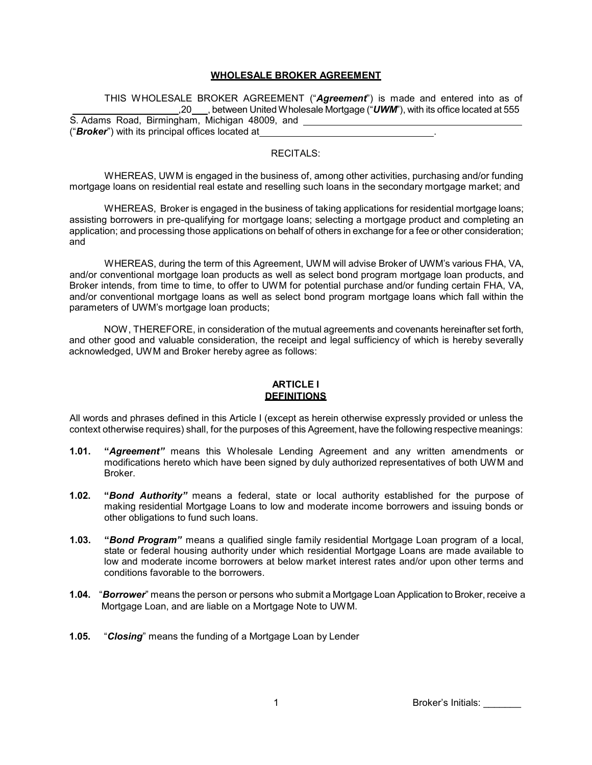#### **WHOLESALE BROKER AGREEMENT**

THIS WHOLESALE BROKER AGREEMENT ("*Agreement*") is made and entered into as of ,20 \_ , between United Wholesale Mortgage ("*UWM*"), with its office located at 555 S. Adams Road, Birmingham, Michigan 48009, and ("**Broker**") with its principal offices located at

#### RECITALS:

WHEREAS, UWM is engaged in the business of, among other activities, purchasing and/or funding mortgage loans on residential real estate and reselling such loans in the secondary mortgage market; and

WHEREAS. Broker is engaged in the business of taking applications for residential mortgage loans; assisting borrowers in pre-qualifying for mortgage loans; selecting a mortgage product and completing an application; and processing those applications on behalf of others in exchange for a fee or other consideration; and

WHEREAS, during the term of this Agreement, UWM will advise Broker of UWM's various FHA, VA, and/or conventional mortgage loan products as well as select bond program mortgage loan products, and Broker intends, from time to time, to offer to UWM for potential purchase and/or funding certain FHA, VA, and/or conventional mortgage loans as well as select bond program mortgage loans which fall within the parameters of UWM's mortgage loan products;

NOW, THEREFORE, in consideration of the mutual agreements and covenants hereinafter set forth, and other good and valuable consideration, the receipt and legal sufficiency of which is hereby severally acknowledged, UWM and Broker hereby agree as follows:

#### **ARTICLE I DEFINITIONS**

All words and phrases defined in this Article I (except as herein otherwise expressly provided or unless the context otherwise requires) shall, for the purposes of this Agreement, have the following respective meanings:

- **1.01. "***Agreement"* means this Wholesale Lending Agreement and any written amendments or modifications hereto which have been signed by duly authorized representatives of both UWM and Broker.
- **1.02. "***Bond Authority"* means a federal, state or local authority established for the purpose of making residential Mortgage Loans to low and moderate income borrowers and issuing bonds or other obligations to fund such loans.
- **1.03. "***Bond Program"* means a qualified single family residential Mortgage Loan program of a local, state or federal housing authority under which residential Mortgage Loans are made available to low and moderate income borrowers at below market interest rates and/or upon other terms and conditions favorable to the borrowers.
- **1.04.** "*Borrower*" means the person or persons who submit a Mortgage Loan Application to Broker, receive a Mortgage Loan, and are liable on a Mortgage Note to UWM.
- **1.05.** "*Closing*" means the funding of a Mortgage Loan by Lender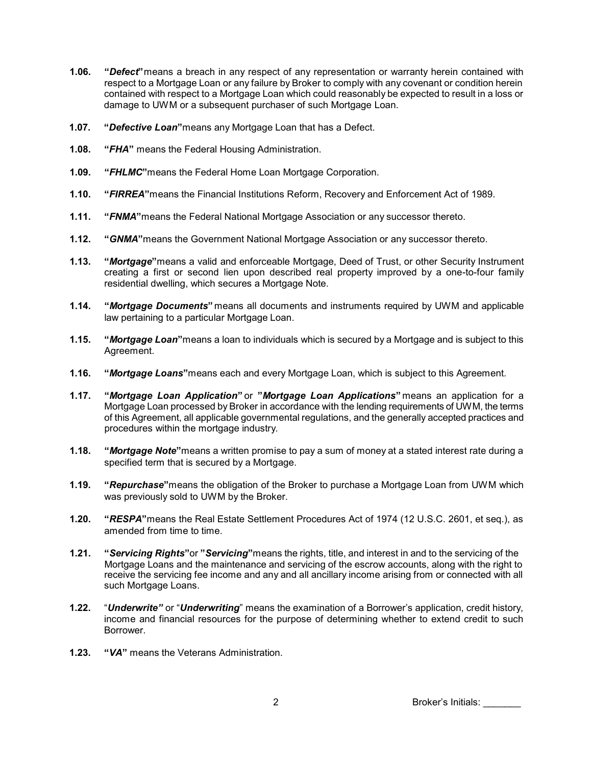- **1.06. "***Defect***"** means a breach in any respect of any representation or warranty herein contained with respect to a Mortgage Loan or any failure by Broker to comply with any covenant or condition herein contained with respect to a Mortgage Loan which could reasonably be expected to result in a loss or damage to UWM or a subsequent purchaser of such Mortgage Loan.
- **1.07. "***Defective Loan***"**means any Mortgage Loan that has a Defect.
- **1.08. "***FHA***"** means the Federal Housing Administration.
- **1.09. "***FHLMC***"**means the Federal Home Loan Mortgage Corporation.
- **1.10. "***FIRREA***"**means the Financial Institutions Reform, Recovery and Enforcement Act of 1989.
- **1.11. "***FNMA***"**means the Federal National Mortgage Association or any successor thereto.
- **1.12. "***GNMA***"**means the Government National Mortgage Association or any successor thereto.
- **1.13. "***Mortgage***"**means a valid and enforceable Mortgage, Deed of Trust, or other Security Instrument creating a first or second lien upon described real property improved by a one-to-four family residential dwelling, which secures a Mortgage Note.
- **1.14. "***Mortgage Documents***"** means all documents and instruments required by UWM and applicable law pertaining to a particular Mortgage Loan.
- **1.15. "***Mortgage Loan***"**means a loan to individuals which is secured by a Mortgage and is subject to this Agreement.
- **1.16. "***Mortgage Loans***"**means each and every Mortgage Loan, which is subject to this Agreement.
- **1.17. "***Mortgage Loan Application***"** or **"***Mortgage Loan Applications***"** means an application for a Mortgage Loan processed by Broker in accordance with the lending requirements of UWM, the terms of this Agreement, all applicable governmental regulations, and the generally accepted practices and procedures within the mortgage industry.
- **1.18. "***Mortgage Note***"**means a written promise to pay a sum of money at a stated interest rate during a specified term that is secured by a Mortgage.
- **1.19. "***Repurchase***"**means the obligation of the Broker to purchase a Mortgage Loan from UWM which was previously sold to UWM by the Broker.
- **1.20. "***RESPA***"**means the Real Estate Settlement Procedures Act of 1974 (12 U.S.C. 2601, et seq.), as amended from time to time.
- **1.21. "***Servicing Rights***"**or **"***Servicing***"**means the rights, title, and interest in and to the servicing of the Mortgage Loans and the maintenance and servicing of the escrow accounts, along with the right to receive the servicing fee income and any and all ancillary income arising from or connected with all such Mortgage Loans.
- **1.22.** "*Underwrite"* or "*Underwriting*" means the examination of a Borrower's application, credit history, income and financial resources for the purpose of determining whether to extend credit to such Borrower.
- **1.23. "***VA***"** means the Veterans Administration.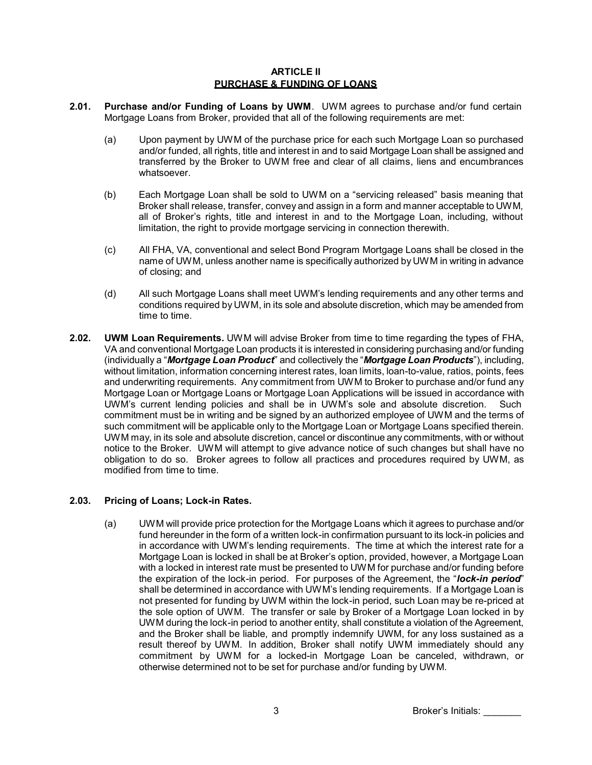#### **ARTICLE II PURCHASE & FUNDING OF LOANS**

- **2.01. Purchase and/or Funding of Loans by UWM**. UWM agrees to purchase and/or fund certain Mortgage Loans from Broker, provided that all of the following requirements are met:
	- (a) Upon payment by UWM of the purchase price for each such Mortgage Loan so purchased and/or funded, all rights, title and interest in and to said Mortgage Loan shall be assigned and transferred by the Broker to UWM free and clear of all claims, liens and encumbrances whatsoever.
	- (b) Each Mortgage Loan shall be sold to UWM on a "servicing released" basis meaning that Broker shall release, transfer, convey and assign in a form and manner acceptable to UWM, all of Broker's rights, title and interest in and to the Mortgage Loan, including, without limitation, the right to provide mortgage servicing in connection therewith.
	- (c) All FHA, VA, conventional and select Bond Program Mortgage Loans shall be closed in the name of UWM, unless another name is specifically authorized by UWM in writing in advance of closing; and
	- (d) All such Mortgage Loans shall meet UWM's lending requirements and any other terms and conditions required by UWM, in its sole and absolute discretion, which may be amended from time to time.
- **2.02. UWM Loan Requirements.** UWM will advise Broker from time to time regarding the types of FHA, VA and conventional Mortgage Loan products it is interested in considering purchasing and/or funding (individually a "*Mortgage Loan Product*" and collectively the "*Mortgage Loan Products*"), including, without limitation, information concerning interest rates, loan limits, loan-to-value, ratios, points, fees and underwriting requirements. Any commitment from UWM to Broker to purchase and/or fund any Mortgage Loan or Mortgage Loans or Mortgage Loan Applications will be issued in accordance with UWM's current lending policies and shall be in UWM's sole and absolute discretion. Such commitment must be in writing and be signed by an authorized employee of UWM and the terms of such commitment will be applicable only to the Mortgage Loan or Mortgage Loans specified therein. UWM may, in its sole and absolute discretion, cancel or discontinue any commitments, with or without notice to the Broker. UWM will attempt to give advance notice of such changes but shall have no obligation to do so. Broker agrees to follow all practices and procedures required by UWM, as modified from time to time.

#### **2.03. Pricing of Loans; Lock-in Rates.**

(a) UWM will provide price protection for the Mortgage Loans which it agrees to purchase and/or fund hereunder in the form of a written lock-in confirmation pursuant to its lock-in policies and in accordance with UWM's lending requirements. The time at which the interest rate for a Mortgage Loan is locked in shall be at Broker's option, provided, however, a Mortgage Loan with a locked in interest rate must be presented to UWM for purchase and/or funding before the expiration of the lock-in period. For purposes of the Agreement, the "*lock-in period*" shall be determined in accordance with UWM's lending requirements. If a Mortgage Loan is not presented for funding by UWM within the lock-in period, such Loan may be re-priced at the sole option of UWM. The transfer or sale by Broker of a Mortgage Loan locked in by UWM during the lock-in period to another entity, shall constitute a violation of the Agreement, and the Broker shall be liable, and promptly indemnify UWM, for any loss sustained as a result thereof by UWM. In addition, Broker shall notify UWM immediately should any commitment by UWM for a locked-in Mortgage Loan be canceled, withdrawn, or otherwise determined not to be set for purchase and/or funding by UWM.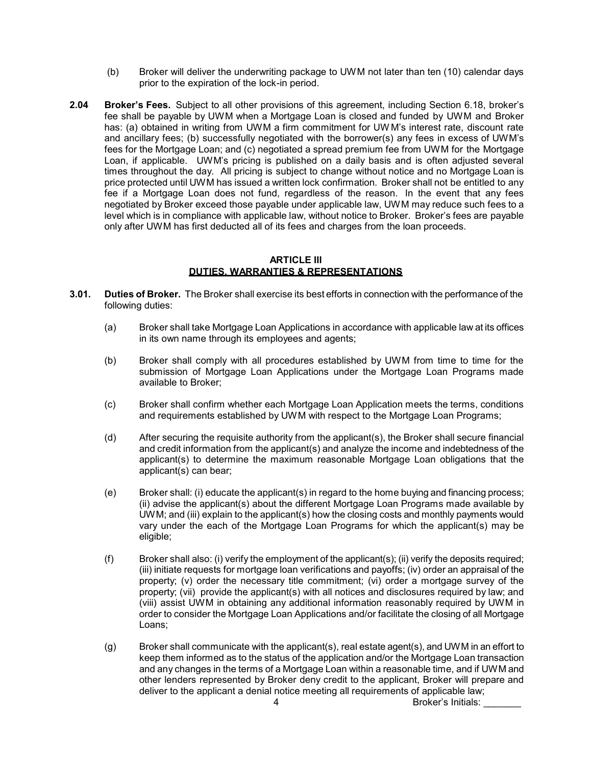- (b) Broker will deliver the underwriting package to UWM not later than ten (10) calendar days prior to the expiration of the lock-in period.
- **2.04 Broker's Fees.** Subject to all other provisions of this agreement, including Section 6.18, broker's fee shall be payable by UWM when a Mortgage Loan is closed and funded by UWM and Broker has: (a) obtained in writing from UWM a firm commitment for UW M's interest rate, discount rate and ancillary fees; (b) successfully negotiated with the borrower(s) any fees in excess of UWM's fees for the Mortgage Loan; and (c) negotiated a spread premium fee from UWM for the Mortgage Loan, if applicable. UWM's pricing is published on a daily basis and is often adjusted several times throughout the day. All pricing is subject to change without notice and no Mortgage Loan is price protected until UWM has issued a written lock confirmation. Broker shall not be entitled to any fee if a Mortgage Loan does not fund, regardless of the reason. In the event that any fees negotiated by Broker exceed those payable under applicable law, UWM may reduce such fees to a level which is in compliance with applicable law, without notice to Broker. Broker's fees are payable only after UWM has first deducted all of its fees and charges from the loan proceeds.

#### **ARTICLE III DUTIES, WARRANTIES & REPRESENTATIONS**

- **3.01. Duties of Broker.** The Broker shall exercise its best efforts in connection with the performance of the following duties:
	- (a) Broker shall take Mortgage Loan Applications in accordance with applicable law at its offices in its own name through its employees and agents;
	- (b) Broker shall comply with all procedures established by UWM from time to time for the submission of Mortgage Loan Applications under the Mortgage Loan Programs made available to Broker;
	- (c) Broker shall confirm whether each Mortgage Loan Application meets the terms, conditions and requirements established by UWM with respect to the Mortgage Loan Programs;
	- (d) After securing the requisite authority from the applicant(s), the Broker shall secure financial and credit information from the applicant(s) and analyze the income and indebtedness of the applicant(s) to determine the maximum reasonable Mortgage Loan obligations that the applicant(s) can bear;
	- (e) Broker shall: (i) educate the applicant(s) in regard to the home buying and financing process; (ii) advise the applicant(s) about the different Mortgage Loan Programs made available by UWM; and (iii) explain to the applicant(s) how the closing costs and monthly payments would vary under the each of the Mortgage Loan Programs for which the applicant(s) may be eligible;
	- (f) Broker shall also: (i) verify the employment of the applicant(s); (ii) verify the deposits required; (iii) initiate requests for mortgage loan verifications and payoffs; (iv) order an appraisal of the property; (v) order the necessary title commitment; (vi) order a mortgage survey of the property; (vii) provide the applicant(s) with all notices and disclosures required by law; and (viii) assist UWM in obtaining any additional information reasonably required by UWM in order to consider the Mortgage Loan Applications and/or facilitate the closing of all Mortgage Loans;
	- (g) Broker shall communicate with the applicant(s), real estate agent(s), and UWM in an effort to keep them informed as to the status of the application and/or the Mortgage Loan transaction and any changes in the terms of a Mortgage Loan within a reasonable time, and if UWM and other lenders represented by Broker deny credit to the applicant, Broker will prepare and deliver to the applicant a denial notice meeting all requirements of applicable law;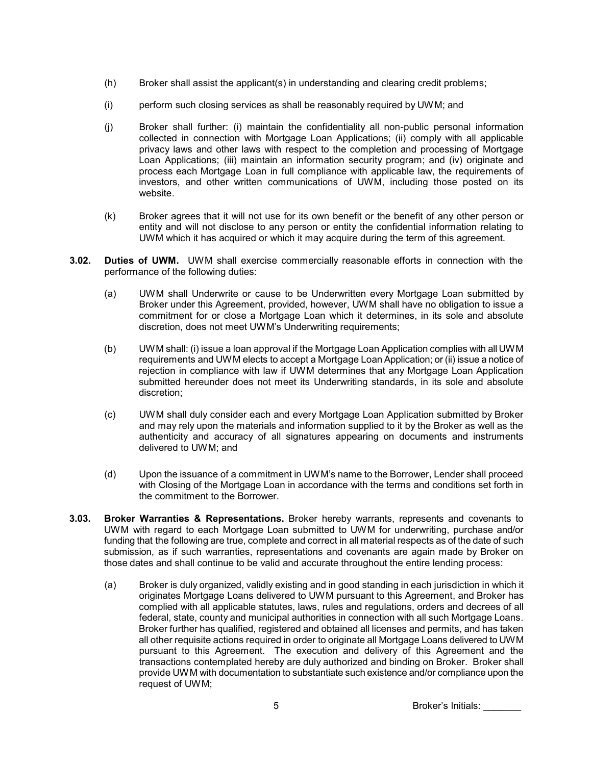- (h) Broker shall assist the applicant(s) in understanding and clearing credit problems;
- (i) perform such closing services as shall be reasonably required by UWM; and
- (j) Broker shall further: (i) maintain the confidentiality all non-public personal information collected in connection with Mortgage Loan Applications; (ii) comply with all applicable privacy laws and other laws with respect to the completion and processing of Mortgage Loan Applications; (iii) maintain an information security program; and (iv) originate and process each Mortgage Loan in full compliance with applicable law, the requirements of investors, and other written communications of UWM, including those posted on its website.
- (k) Broker agrees that it will not use for its own benefit or the benefit of any other person or entity and will not disclose to any person or entity the confidential information relating to UWM which it has acquired or which it may acquire during the term of this agreement.
- **3.02. Duties of UWM.** UWM shall exercise commercially reasonable efforts in connection with the performance of the following duties:
	- (a) UWM shall Underwrite or cause to be Underwritten every Mortgage Loan submitted by Broker under this Agreement, provided, however, UWM shall have no obligation to issue a commitment for or close a Mortgage Loan which it determines, in its sole and absolute discretion, does not meet UWM's Underwriting requirements;
	- (b) UWM shall: (i) issue a loan approval if the Mortgage Loan Application complies with all UWM requirements and UWM elects to accept a Mortgage Loan Application; or (ii) issue a notice of rejection in compliance with law if UWM determines that any Mortgage Loan Application submitted hereunder does not meet its Underwriting standards, in its sole and absolute discretion;
	- (c) UWM shall duly consider each and every Mortgage Loan Application submitted by Broker and may rely upon the materials and information supplied to it by the Broker as well as the authenticity and accuracy of all signatures appearing on documents and instruments delivered to UWM; and
	- (d) Upon the issuance of a commitment in UWM's name to the Borrower, Lender shall proceed with Closing of the Mortgage Loan in accordance with the terms and conditions set forth in the commitment to the Borrower.
- **3.03. Broker Warranties & Representations.** Broker hereby warrants, represents and covenants to UWM with regard to each Mortgage Loan submitted to UWM for underwriting, purchase and/or funding that the following are true, complete and correct in all material respects as of the date of such submission, as if such warranties, representations and covenants are again made by Broker on those dates and shall continue to be valid and accurate throughout the entire lending process:
	- (a) Broker is duly organized, validly existing and in good standing in each jurisdiction in which it originates Mortgage Loans delivered to UWM pursuant to this Agreement, and Broker has complied with all applicable statutes, laws, rules and regulations, orders and decrees of all federal, state, county and municipal authorities in connection with all such Mortgage Loans. Broker further has qualified, registered and obtained all licenses and permits, and has taken all other requisite actions required in order to originate all Mortgage Loans delivered to UWM pursuant to this Agreement. The execution and delivery of this Agreement and the transactions contemplated hereby are duly authorized and binding on Broker. Broker shall provide UWM with documentation to substantiate such existence and/or compliance upon the request of UWM;

5 Broker's Initials: \_\_\_\_\_\_\_\_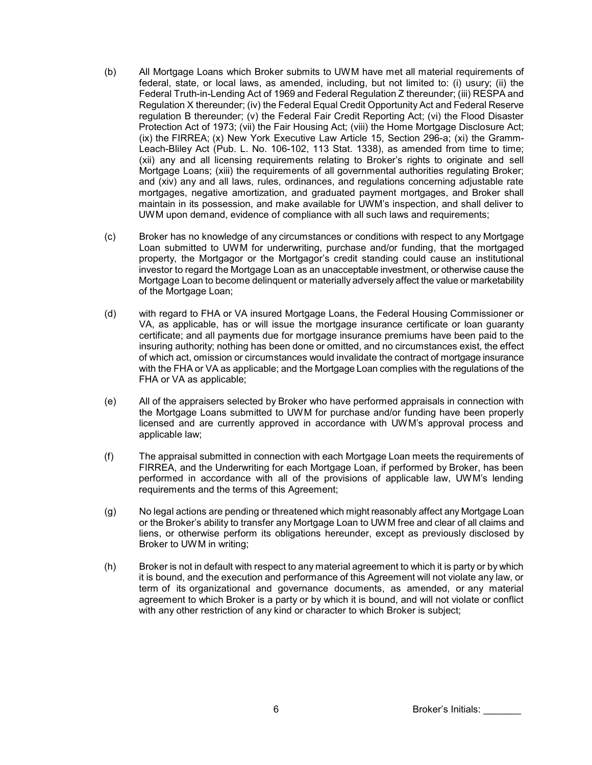- (b) All Mortgage Loans which Broker submits to UWM have met all material requirements of federal, state, or local laws, as amended, including, but not limited to: (i) usury; (ii) the Federal Truth-in-Lending Act of 1969 and Federal Regulation Z thereunder; (iii) RESPA and Regulation X thereunder; (iv) the Federal Equal Credit Opportunity Act and Federal Reserve regulation B thereunder; (v) the Federal Fair Credit Reporting Act; (vi) the Flood Disaster Protection Act of 1973; (vii) the Fair Housing Act; (viii) the Home Mortgage Disclosure Act; (ix) the FIRREA; (x) New York Executive Law Article 15, Section 296-a; (xi) the Gramm-Leach-Bliley Act (Pub. L. No. 106-102, 113 Stat. 1338), as amended from time to time; (xii) any and all licensing requirements relating to Broker's rights to originate and sell Mortgage Loans; (xiii) the requirements of all governmental authorities regulating Broker; and (xiv) any and all laws, rules, ordinances, and regulations concerning adjustable rate mortgages, negative amortization, and graduated payment mortgages, and Broker shall maintain in its possession, and make available for UWM's inspection, and shall deliver to UWM upon demand, evidence of compliance with all such laws and requirements;
- (c) Broker has no knowledge of any circumstances or conditions with respect to any Mortgage Loan submitted to UWM for underwriting, purchase and/or funding, that the mortgaged property, the Mortgagor or the Mortgagor's credit standing could cause an institutional investor to regard the Mortgage Loan as an unacceptable investment, or otherwise cause the Mortgage Loan to become delinquent or materially adversely affect the value or marketability of the Mortgage Loan;
- (d) with regard to FHA or VA insured Mortgage Loans, the Federal Housing Commissioner or VA, as applicable, has or will issue the mortgage insurance certificate or loan guaranty certificate; and all payments due for mortgage insurance premiums have been paid to the insuring authority; nothing has been done or omitted, and no circumstances exist, the effect of which act, omission or circumstances would invalidate the contract of mortgage insurance with the FHA or VA as applicable; and the Mortgage Loan complies with the regulations of the FHA or VA as applicable;
- (e) All of the appraisers selected by Broker who have performed appraisals in connection with the Mortgage Loans submitted to UWM for purchase and/or funding have been properly licensed and are currently approved in accordance with UWM's approval process and applicable law;
- (f) The appraisal submitted in connection with each Mortgage Loan meets the requirements of FIRREA, and the Underwriting for each Mortgage Loan, if performed by Broker, has been performed in accordance with all of the provisions of applicable law, UWM's lending requirements and the terms of this Agreement;
- (g) No legal actions are pending or threatened which might reasonably affect any Mortgage Loan or the Broker's ability to transfer any Mortgage Loan to UWM free and clear of all claims and liens, or otherwise perform its obligations hereunder, except as previously disclosed by Broker to UWM in writing;
- (h) Broker is not in default with respect to any material agreement to which it is party or by which it is bound, and the execution and performance of this Agreement will not violate any law, or term of its organizational and governance documents, as amended, or any material agreement to which Broker is a party or by which it is bound, and will not violate or conflict with any other restriction of any kind or character to which Broker is subject;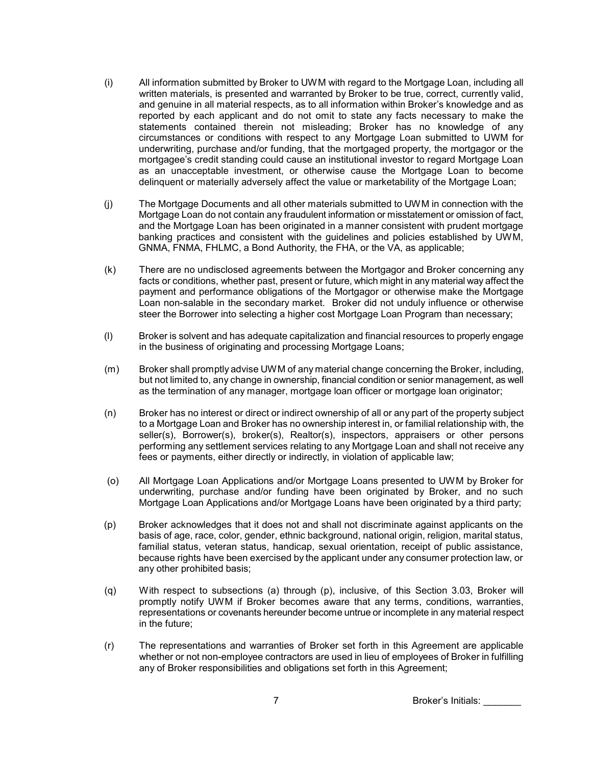- (i) All information submitted by Broker to UWM with regard to the Mortgage Loan, including all written materials, is presented and warranted by Broker to be true, correct, currently valid, and genuine in all material respects, as to all information within Broker's knowledge and as reported by each applicant and do not omit to state any facts necessary to make the statements contained therein not misleading; Broker has no knowledge of any circumstances or conditions with respect to any Mortgage Loan submitted to UWM for underwriting, purchase and/or funding, that the mortgaged property, the mortgagor or the mortgagee's credit standing could cause an institutional investor to regard Mortgage Loan as an unacceptable investment, or otherwise cause the Mortgage Loan to become delinquent or materially adversely affect the value or marketability of the Mortgage Loan;
- (j) The Mortgage Documents and all other materials submitted to UWM in connection with the Mortgage Loan do not contain any fraudulent information or misstatement or omission of fact, and the Mortgage Loan has been originated in a manner consistent with prudent mortgage banking practices and consistent with the guidelines and policies established by UWM, GNMA, FNMA, FHLMC, a Bond Authority, the FHA, or the VA, as applicable;
- (k) There are no undisclosed agreements between the Mortgagor and Broker concerning any facts or conditions, whether past, present or future, which might in any material way affect the payment and performance obligations of the Mortgagor or otherwise make the Mortgage Loan non-salable in the secondary market. Broker did not unduly influence or otherwise steer the Borrower into selecting a higher cost Mortgage Loan Program than necessary;
- (l) Broker is solvent and has adequate capitalization and financial resources to properly engage in the business of originating and processing Mortgage Loans;
- (m) Broker shall promptly advise UWM of any material change concerning the Broker, including, but not limited to, any change in ownership, financial condition or senior management, as well as the termination of any manager, mortgage loan officer or mortgage loan originator;
- (n) Broker has no interest or direct or indirect ownership of all or any part of the property subject to a Mortgage Loan and Broker has no ownership interest in, or familial relationship with, the seller(s), Borrower(s), broker(s), Realtor(s), inspectors, appraisers or other persons performing any settlement services relating to any Mortgage Loan and shall not receive any fees or payments, either directly or indirectly, in violation of applicable law;
- (o) All Mortgage Loan Applications and/or Mortgage Loans presented to UWM by Broker for underwriting, purchase and/or funding have been originated by Broker, and no such Mortgage Loan Applications and/or Mortgage Loans have been originated by a third party;
- (p) Broker acknowledges that it does not and shall not discriminate against applicants on the basis of age, race, color, gender, ethnic background, national origin, religion, marital status, familial status, veteran status, handicap, sexual orientation, receipt of public assistance, because rights have been exercised by the applicant under any consumer protection law, or any other prohibited basis;
- (q) With respect to subsections (a) through (p), inclusive, of this Section 3.03, Broker will promptly notify UWM if Broker becomes aware that any terms, conditions, warranties, representations or covenants hereunder become untrue or incomplete in any material respect in the future;
- (r) The representations and warranties of Broker set forth in this Agreement are applicable whether or not non-employee contractors are used in lieu of employees of Broker in fulfilling any of Broker responsibilities and obligations set forth in this Agreement;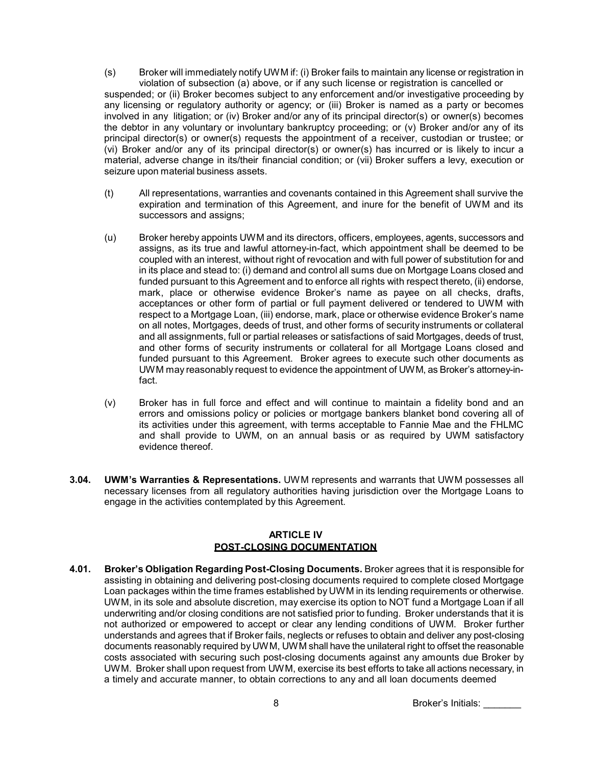(s) Broker will immediately notify UWM if: (i) Broker fails to maintain any license or registration in violation of subsection (a) above, or if any such license or registration is cancelled or suspended; or (ii) Broker becomes subject to any enforcement and/or investigative proceeding by any licensing or regulatory authority or agency; or (iii) Broker is named as a party or becomes involved in any litigation; or (iv) Broker and/or any of its principal director(s) or owner(s) becomes the debtor in any voluntary or involuntary bankruptcy proceeding; or (v) Broker and/or any of its principal director(s) or owner(s) requests the appointment of a receiver, custodian or trustee; or (vi) Broker and/or any of its principal director(s) or owner(s) has incurred or is likely to incur a material, adverse change in its/their financial condition; or (vii) Broker suffers a levy, execution or seizure upon material business assets.

- (t) All representations, warranties and covenants contained in this Agreement shall survive the expiration and termination of this Agreement, and inure for the benefit of UWM and its successors and assigns;
- (u) Broker hereby appoints UWM and its directors, officers, employees, agents, successors and assigns, as its true and lawful attorney-in-fact, which appointment shall be deemed to be coupled with an interest, without right of revocation and with full power of substitution for and in its place and stead to: (i) demand and control all sums due on Mortgage Loans closed and funded pursuant to this Agreement and to enforce all rights with respect thereto, (ii) endorse, mark, place or otherwise evidence Broker's name as payee on all checks, drafts, acceptances or other form of partial or full payment delivered or tendered to UWM with respect to a Mortgage Loan, (iii) endorse, mark, place or otherwise evidence Broker's name on all notes, Mortgages, deeds of trust, and other forms of security instruments or collateral and all assignments, full or partial releases or satisfactions of said Mortgages, deeds of trust, and other forms of security instruments or collateral for all Mortgage Loans closed and funded pursuant to this Agreement. Broker agrees to execute such other documents as UWM may reasonably request to evidence the appointment of UWM, as Broker's attorney-infact.
- (v) Broker has in full force and effect and will continue to maintain a fidelity bond and an errors and omissions policy or policies or mortgage bankers blanket bond covering all of its activities under this agreement, with terms acceptable to Fannie Mae and the FHLMC and shall provide to UWM, on an annual basis or as required by UWM satisfactory evidence thereof.
- **3.04. UWM's Warranties & Representations.** UWM represents and warrants that UWM possesses all necessary licenses from all regulatory authorities having jurisdiction over the Mortgage Loans to engage in the activities contemplated by this Agreement.

#### **ARTICLE IV POST-CLOSING DOCUMENTATION**

**4.01. Broker's Obligation Regarding Post-Closing Documents.** Broker agrees that it is responsible for assisting in obtaining and delivering post-closing documents required to complete closed Mortgage Loan packages within the time frames established by UWM in its lending requirements or otherwise. UWM, in its sole and absolute discretion, may exercise its option to NOT fund a Mortgage Loan if all underwriting and/or closing conditions are not satisfied prior to funding. Broker understands that it is not authorized or empowered to accept or clear any lending conditions of UWM. Broker further understands and agrees that if Broker fails, neglects or refuses to obtain and deliver any post-closing documents reasonably required by UWM, UWM shall have the unilateral right to offset the reasonable costs associated with securing such post-closing documents against any amounts due Broker by UWM. Broker shall upon request from UWM, exercise its best efforts to take all actions necessary, in a timely and accurate manner, to obtain corrections to any and all loan documents deemed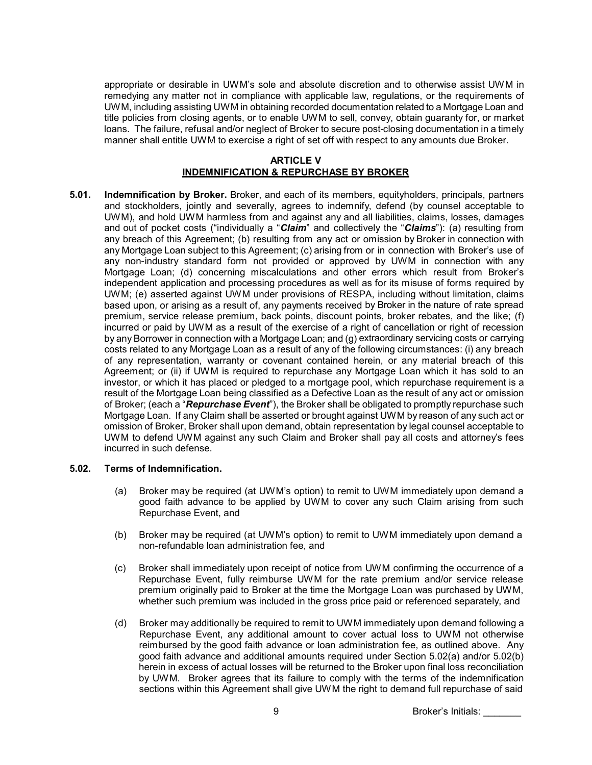appropriate or desirable in UWM's sole and absolute discretion and to otherwise assist UWM in remedying any matter not in compliance with applicable law, regulations, or the requirements of UWM, including assisting UWM in obtaining recorded documentation related to a Mortgage Loan and title policies from closing agents, or to enable UWM to sell, convey, obtain guaranty for, or market loans. The failure, refusal and/or neglect of Broker to secure post-closing documentation in a timely manner shall entitle UWM to exercise a right of set off with respect to any amounts due Broker.

#### **ARTICLE V INDEMNIFICATION & REPURCHASE BY BROKER**

**5.01. Indemnification by Broker.** Broker, and each of its members, equityholders, principals, partners and stockholders, jointly and severally, agrees to indemnify, defend (by counsel acceptable to UWM), and hold UWM harmless from and against any and all liabilities, claims, losses, damages and out of pocket costs ("individually a "*Claim*" and collectively the "*Claims*"): (a) resulting from any breach of this Agreement; (b) resulting from any act or omission by Broker in connection with any Mortgage Loan subject to this Agreement; (c) arising from or in connection with Broker's use of any non-industry standard form not provided or approved by UWM in connection with any Mortgage Loan; (d) concerning miscalculations and other errors which result from Broker's independent application and processing procedures as well as for its misuse of forms required by UWM; (e) asserted against UWM under provisions of RESPA, including without limitation, claims based upon, or arising as a result of, any payments received by Broker in the nature of rate spread premium, service release premium, back points, discount points, broker rebates, and the like; (f) incurred or paid by UWM as a result of the exercise of a right of cancellation or right of recession by any Borrower in connection with a Mortgage Loan; and (g) extraordinary servicing costs or carrying costs related to any Mortgage Loan as a result of any of the following circumstances: (i) any breach of any representation, warranty or covenant contained herein, or any material breach of this Agreement; or (ii) if UWM is required to repurchase any Mortgage Loan which it has sold to an investor, or which it has placed or pledged to a mortgage pool, which repurchase requirement is a result of the Mortgage Loan being classified as a Defective Loan as the result of any act or omission of Broker; (each a "*Repurchase Event*"), the Broker shall be obligated to promptly repurchase such Mortgage Loan. If any Claim shall be asserted or brought against UWM by reason of any such act or omission of Broker, Broker shall upon demand, obtain representation by legal counsel acceptable to UWM to defend UWM against any such Claim and Broker shall pay all costs and attorney's fees incurred in such defense.

#### **5.02. Terms of Indemnification.**

- (a) Broker may be required (at UWM's option) to remit to UWM immediately upon demand a good faith advance to be applied by UWM to cover any such Claim arising from such Repurchase Event, and
- (b) Broker may be required (at UWM's option) to remit to UWM immediately upon demand a non-refundable loan administration fee, and
- (c) Broker shall immediately upon receipt of notice from UWM confirming the occurrence of a Repurchase Event, fully reimburse UWM for the rate premium and/or service release premium originally paid to Broker at the time the Mortgage Loan was purchased by UWM, whether such premium was included in the gross price paid or referenced separately, and
- (d) Broker may additionally be required to remit to UWM immediately upon demand following a Repurchase Event, any additional amount to cover actual loss to UWM not otherwise reimbursed by the good faith advance or loan administration fee, as outlined above. Any good faith advance and additional amounts required under Section 5.02(a) and/or 5.02(b) herein in excess of actual losses will be returned to the Broker upon final loss reconciliation by UWM. Broker agrees that its failure to comply with the terms of the indemnification sections within this Agreement shall give UWM the right to demand full repurchase of said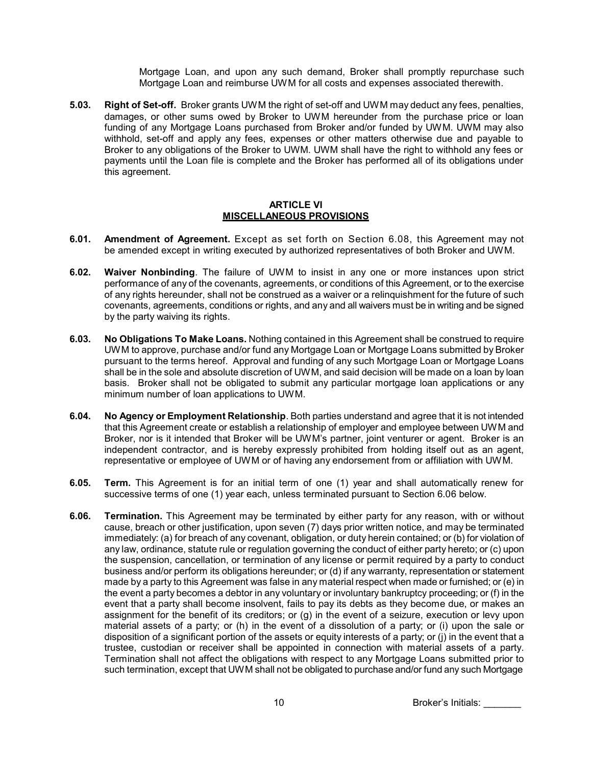Mortgage Loan, and upon any such demand, Broker shall promptly repurchase such Mortgage Loan and reimburse UWM for all costs and expenses associated therewith.

**5.03. Right of Set-off.** Broker grants UWM the right of set-off and UWM may deduct any fees, penalties, damages, or other sums owed by Broker to UWM hereunder from the purchase price or loan funding of any Mortgage Loans purchased from Broker and/or funded by UWM. UWM may also withhold, set-off and apply any fees, expenses or other matters otherwise due and payable to Broker to any obligations of the Broker to UWM. UWM shall have the right to withhold any fees or payments until the Loan file is complete and the Broker has performed all of its obligations under this agreement.

#### **ARTICLE VI MISCELLANEOUS PROVISIONS**

- **6.01. Amendment of Agreement.** Except as set forth on Section 6.08, this Agreement may not be amended except in writing executed by authorized representatives of both Broker and UWM.
- **6.02. Waiver Nonbinding**. The failure of UWM to insist in any one or more instances upon strict performance of any of the covenants, agreements, or conditions of this Agreement, or to the exercise of any rights hereunder, shall not be construed as a waiver or a relinquishment for the future of such covenants, agreements, conditions or rights, and any and all waivers must be in writing and be signed by the party waiving its rights.
- **6.03. No Obligations To Make Loans.** Nothing contained in this Agreement shall be construed to require UWM to approve, purchase and/or fund any Mortgage Loan or Mortgage Loans submitted by Broker pursuant to the terms hereof. Approval and funding of any such Mortgage Loan or Mortgage Loans shall be in the sole and absolute discretion of UWM, and said decision will be made on a loan by loan basis. Broker shall not be obligated to submit any particular mortgage loan applications or any minimum number of loan applications to UWM.
- **6.04. No Agency or Employment Relationship**. Both parties understand and agree that it is not intended that this Agreement create or establish a relationship of employer and employee between UWM and Broker, nor is it intended that Broker will be UWM's partner, joint venturer or agent. Broker is an independent contractor, and is hereby expressly prohibited from holding itself out as an agent, representative or employee of UWM or of having any endorsement from or affiliation with UWM.
- **6.05. Term.** This Agreement is for an initial term of one (1) year and shall automatically renew for successive terms of one (1) year each, unless terminated pursuant to Section 6.06 below.
- **6.06. Termination.** This Agreement may be terminated by either party for any reason, with or without cause, breach or other justification, upon seven (7) days prior written notice, and may be terminated immediately: (a) for breach of any covenant, obligation, or duty herein contained; or (b) for violation of any law, ordinance, statute rule or regulation governing the conduct of either party hereto; or (c) upon the suspension, cancellation, or termination of any license or permit required by a party to conduct business and/or perform its obligations hereunder; or (d) if any warranty, representation or statement made by a party to this Agreement was false in any material respect when made or furnished; or (e) in the event a party becomes a debtor in any voluntary or involuntary bankruptcy proceeding; or (f) in the event that a party shall become insolvent, fails to pay its debts as they become due, or makes an assignment for the benefit of its creditors; or (g) in the event of a seizure, execution or levy upon material assets of a party; or (h) in the event of a dissolution of a party; or (i) upon the sale or disposition of a significant portion of the assets or equity interests of a party; or (j) in the event that a trustee, custodian or receiver shall be appointed in connection with material assets of a party. Termination shall not affect the obligations with respect to any Mortgage Loans submitted prior to such termination, except that UWM shall not be obligated to purchase and/or fund any such Mortgage

10 **Broker's Initials:**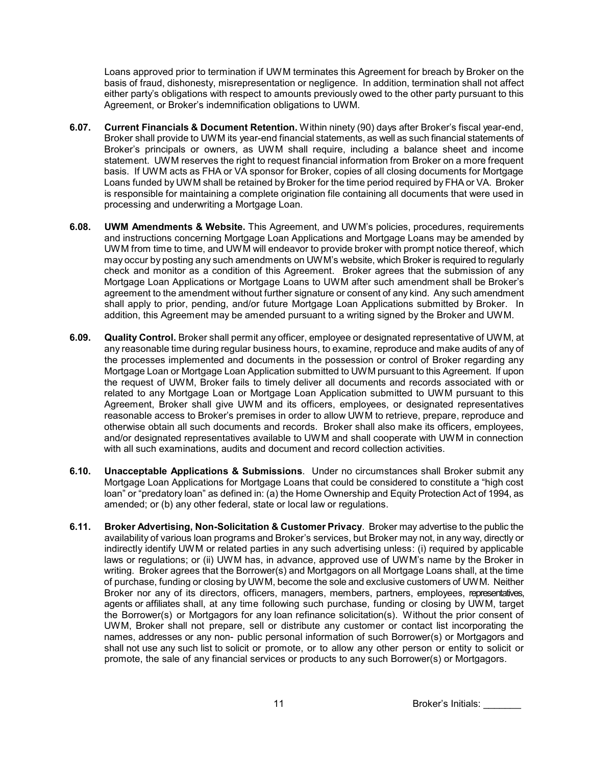Loans approved prior to termination if UWM terminates this Agreement for breach by Broker on the basis of fraud, dishonesty, misrepresentation or negligence. In addition, termination shall not affect either party's obligations with respect to amounts previously owed to the other party pursuant to this Agreement, or Broker's indemnification obligations to UWM.

- **6.07. Current Financials & Document Retention.** Within ninety (90) days after Broker's fiscal year-end, Broker shall provide to UWM its year-end financial statements, as well as such financial statements of Broker's principals or owners, as UWM shall require, including a balance sheet and income statement. UWM reserves the right to request financial information from Broker on a more frequent basis. If UWM acts as FHA or VA sponsor for Broker, copies of all closing documents for Mortgage Loans funded by UWM shall be retained by Broker for the time period required by FHA or VA. Broker is responsible for maintaining a complete origination file containing all documents that were used in processing and underwriting a Mortgage Loan.
- **6.08. UWM Amendments & Website.** This Agreement, and UWM's policies, procedures, requirements and instructions concerning Mortgage Loan Applications and Mortgage Loans may be amended by UWM from time to time, and UWM will endeavor to provide broker with prompt notice thereof, which may occur by posting any such amendments on UWM's website, which Broker is required to regularly check and monitor as a condition of this Agreement. Broker agrees that the submission of any Mortgage Loan Applications or Mortgage Loans to UWM after such amendment shall be Broker's agreement to the amendment without further signature or consent of any kind. Any such amendment shall apply to prior, pending, and/or future Mortgage Loan Applications submitted by Broker. In addition, this Agreement may be amended pursuant to a writing signed by the Broker and UWM.
- **6.09. Quality Control.** Broker shall permit any officer, employee or designated representative of UWM, at any reasonable time during regular business hours, to examine, reproduce and make audits of any of the processes implemented and documents in the possession or control of Broker regarding any Mortgage Loan or Mortgage Loan Application submitted to UWM pursuant to this Agreement. If upon the request of UWM, Broker fails to timely deliver all documents and records associated with or related to any Mortgage Loan or Mortgage Loan Application submitted to UWM pursuant to this Agreement, Broker shall give UWM and its officers, employees, or designated representatives reasonable access to Broker's premises in order to allow UWM to retrieve, prepare, reproduce and otherwise obtain all such documents and records. Broker shall also make its officers, employees, and/or designated representatives available to UWM and shall cooperate with UWM in connection with all such examinations, audits and document and record collection activities.
- **6.10. Unacceptable Applications & Submissions**. Under no circumstances shall Broker submit any Mortgage Loan Applications for Mortgage Loans that could be considered to constitute a "high cost loan" or "predatory loan" as defined in: (a) the Home Ownership and Equity Protection Act of 1994, as amended; or (b) any other federal, state or local law or regulations.
- **6.11. Broker Advertising, Non-Solicitation & Customer Privacy**. Broker may advertise to the public the availability of various loan programs and Broker's services, but Broker may not, in any way, directly or indirectly identify UWM or related parties in any such advertising unless: (i) required by applicable laws or regulations; or (ii) UWM has, in advance, approved use of UWM's name by the Broker in writing. Broker agrees that the Borrower(s) and Mortgagors on all Mortgage Loans shall, at the time of purchase, funding or closing by UWM, become the sole and exclusive customers of UWM. Neither Broker nor any of its directors, officers, managers, members, partners, employees, representatives, agents or affiliates shall, at any time following such purchase, funding or closing by UWM, target the Borrower(s) or Mortgagors for any loan refinance solicitation(s). Without the prior consent of UWM, Broker shall not prepare, sell or distribute any customer or contact list incorporating the names, addresses or any non- public personal information of such Borrower(s) or Mortgagors and shall not use any such list to solicit or promote, or to allow any other person or entity to solicit or promote, the sale of any financial services or products to any such Borrower(s) or Mortgagors.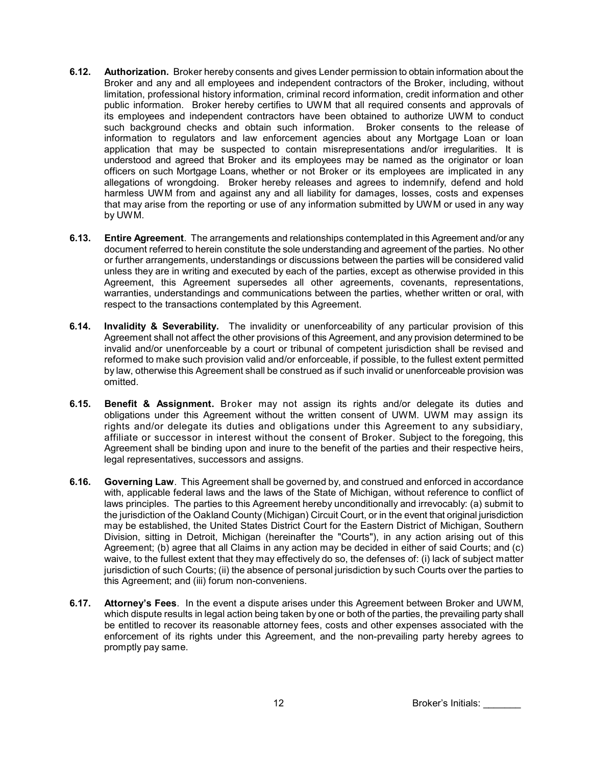- **6.12. Authorization.** Broker hereby consents and gives Lender permission to obtain information about the Broker and any and all employees and independent contractors of the Broker, including, without limitation, professional history information, criminal record information, credit information and other public information. Broker hereby certifies to UWM that all required consents and approvals of its employees and independent contractors have been obtained to authorize UWM to conduct such background checks and obtain such information. Broker consents to the release of information to regulators and law enforcement agencies about any Mortgage Loan or loan application that may be suspected to contain misrepresentations and/or irregularities. It is understood and agreed that Broker and its employees may be named as the originator or loan officers on such Mortgage Loans, whether or not Broker or its employees are implicated in any allegations of wrongdoing. Broker hereby releases and agrees to indemnify, defend and hold harmless UWM from and against any and all liability for damages, losses, costs and expenses that may arise from the reporting or use of any information submitted by UWM or used in any way by UWM.
- **6.13. Entire Agreement**. The arrangements and relationships contemplated in this Agreement and/or any document referred to herein constitute the sole understanding and agreement of the parties. No other or further arrangements, understandings or discussions between the parties will be considered valid unless they are in writing and executed by each of the parties, except as otherwise provided in this Agreement, this Agreement supersedes all other agreements, covenants, representations, warranties, understandings and communications between the parties, whether written or oral, with respect to the transactions contemplated by this Agreement.
- **6.14. Invalidity & Severability.** The invalidity or unenforceability of any particular provision of this Agreement shall not affect the other provisions of this Agreement, and any provision determined to be invalid and/or unenforceable by a court or tribunal of competent jurisdiction shall be revised and reformed to make such provision valid and/or enforceable, if possible, to the fullest extent permitted by law, otherwise this Agreement shall be construed as if such invalid or unenforceable provision was omitted.
- **6.15. Benefit & Assignment.** Broker may not assign its rights and/or delegate its duties and obligations under this Agreement without the written consent of UWM. UWM may assign its rights and/or delegate its duties and obligations under this Agreement to any subsidiary, affiliate or successor in interest without the consent of Broker. Subject to the foregoing, this Agreement shall be binding upon and inure to the benefit of the parties and their respective heirs, legal representatives, successors and assigns.
- **6.16. Governing Law**. This Agreement shall be governed by, and construed and enforced in accordance with, applicable federal laws and the laws of the State of Michigan, without reference to conflict of laws principles. The parties to this Agreement hereby unconditionally and irrevocably: (a) submit to the jurisdiction of the Oakland County (Michigan) Circuit Court, or in the event that original jurisdiction may be established, the United States District Court for the Eastern District of Michigan, Southern Division, sitting in Detroit, Michigan (hereinafter the "Courts"), in any action arising out of this Agreement; (b) agree that all Claims in any action may be decided in either of said Courts; and (c) waive, to the fullest extent that they may effectively do so, the defenses of: (i) lack of subject matter jurisdiction of such Courts; (ii) the absence of personal jurisdiction by such Courts over the parties to this Agreement; and (iii) forum non-conveniens.
- **6.17. Attorney's Fees**. In the event a dispute arises under this Agreement between Broker and UWM, which dispute results in legal action being taken by one or both of the parties, the prevailing party shall be entitled to recover its reasonable attorney fees, costs and other expenses associated with the enforcement of its rights under this Agreement, and the non-prevailing party hereby agrees to promptly pay same.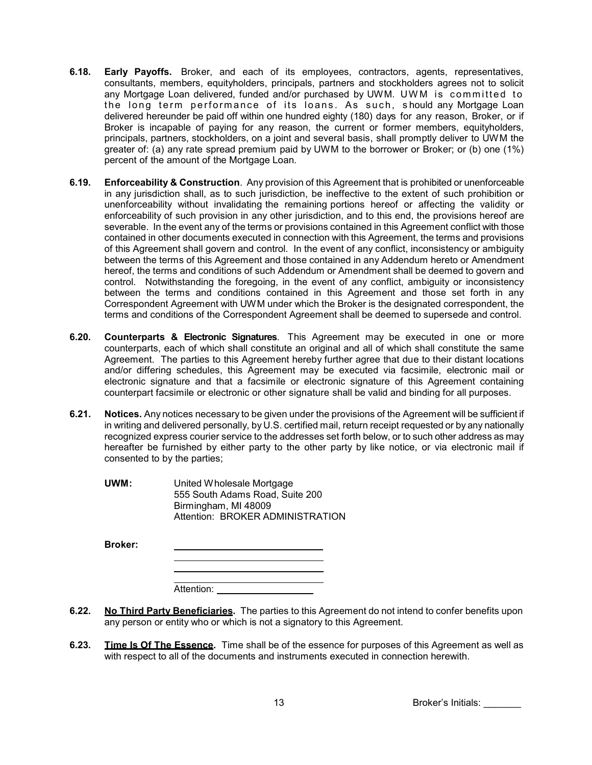- **6.18. Early Payoffs.** Broker, and each of its employees, contractors, agents, representatives, consultants, members, equityholders, principals, partners and stockholders agrees not to solicit any Mortgage Loan delivered, funded and/or purchased by UWM. UWM is committed to the long term performance of its loans. As such, should any Mortgage Loan delivered hereunder be paid off within one hundred eighty (180) days for any reason, Broker, or if Broker is incapable of paying for any reason, the current or former members, equityholders, principals, partners, stockholders, on a joint and several basis, shall promptly deliver to UWM the greater of: (a) any rate spread premium paid by UWM to the borrower or Broker; or (b) one (1%) percent of the amount of the Mortgage Loan.
- **6.19. Enforceability & Construction**. Any provision of this Agreement that is prohibited or unenforceable in any jurisdiction shall, as to such jurisdiction, be ineffective to the extent of such prohibition or unenforceability without invalidating the remaining portions hereof or affecting the validity or enforceability of such provision in any other jurisdiction, and to this end, the provisions hereof are severable. In the event any of the terms or provisions contained in this Agreement conflict with those contained in other documents executed in connection with this Agreement, the terms and provisions of this Agreement shall govern and control. In the event of any conflict, inconsistency or ambiguity between the terms of this Agreement and those contained in any Addendum hereto or Amendment hereof, the terms and conditions of such Addendum or Amendment shall be deemed to govern and control. Notwithstanding the foregoing, in the event of any conflict, ambiguity or inconsistency between the terms and conditions contained in this Agreement and those set forth in any Correspondent Agreement with UWM under which the Broker is the designated correspondent, the terms and conditions of the Correspondent Agreement shall be deemed to supersede and control.
- **6.20. Counterparts & Electronic Signatures**. This Agreement may be executed in one or more counterparts, each of which shall constitute an original and all of which shall constitute the same Agreement. The parties to this Agreement hereby further agree that due to their distant locations and/or differing schedules, this Agreement may be executed via facsimile, electronic mail or electronic signature and that a facsimile or electronic signature of this Agreement containing counterpart facsimile or electronic or other signature shall be valid and binding for all purposes.
- **6.21. Notices.** Any notices necessary to be given under the provisions of the Agreement will be sufficient if in writing and delivered personally, by U.S. certified mail, return receipt requested or by any nationally recognized express courier service to the addresses set forth below, or to such other address as may hereafter be furnished by either party to the other party by like notice, or via electronic mail if consented to by the parties;

**UWM:** United Wholesale Mortgage 555 South Adams Road, Suite 200 Birmingham, MI 48009 Attention: BROKER ADMINISTRATION

**Broker:**

Attention:

- **6.22. No Third Party Beneficiaries.** The parties to this Agreement do not intend to confer benefits upon any person or entity who or which is not a signatory to this Agreement.
- **6.23. Time Is Of The Essence.** Time shall be of the essence for purposes of this Agreement as well as with respect to all of the documents and instruments executed in connection herewith.

13 Broker's Initials: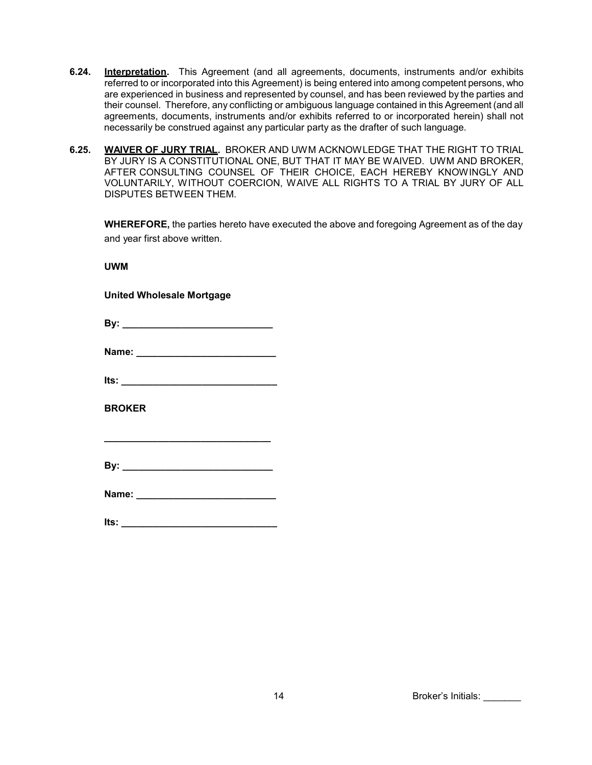- **6.24. Interpretation.** This Agreement (and all agreements, documents, instruments and/or exhibits referred to or incorporated into this Agreement) is being entered into among competent persons, who are experienced in business and represented by counsel, and has been reviewed by the parties and their counsel. Therefore, any conflicting or ambiguous language contained in this Agreement (and all agreements, documents, instruments and/or exhibits referred to or incorporated herein) shall not necessarily be construed against any particular party as the drafter of such language.
- **6.25. WAIVER OF JURY TRIAL.** BROKER AND UWM ACKNOWLEDGE THAT THE RIGHT TO TRIAL BY JURY IS A CONSTITUTIONAL ONE, BUT THAT IT MAY BE WAIVED. UWM AND BROKER, AFTER CONSULTING COUNSEL OF THEIR CHOICE, EACH HEREBY KNOWINGLY AND VOLUNTARILY, WITHOUT COERCION, WAIVE ALL RIGHTS TO A TRIAL BY JURY OF ALL DISPUTES BETWEEN THEM.

**WHEREFORE,** the parties hereto have executed the above and foregoing Agreement as of the day and year first above written.

**UWM**

**United Wholesale Mortgage**

| <b>BROKER</b><br><u> 1980 - Johann John Stein, markin bashkar (b. 1980)</u> |  |
|-----------------------------------------------------------------------------|--|
|                                                                             |  |
|                                                                             |  |

**Its: \_\_\_\_\_\_\_\_\_\_\_\_\_\_\_\_\_\_\_\_\_\_\_\_\_\_\_\_\_**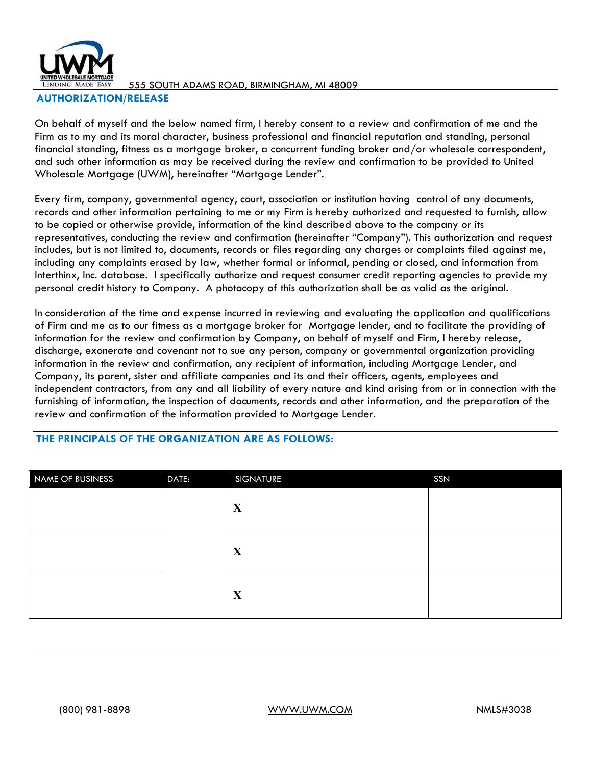

#### **AUTHORIZATION/RELEASE**

On behalf of myself and the below named firm, I hereby consent to a review and confirmation of me and the Firm as to my and its moral character, business professional and financial reputation and standing, personal financial standing, fitness as a mortgage broker, a concurrent funding broker and/or wholesale correspondent, and such other information as may be received during the review and confirmation to be provided to United Wholesale Mortgage (UWM), hereinafter "Mortgage Lender".

Every firm, company, governmental agency, court, association or institution having control of any documents, records and other information pertaining to me or my Firm is hereby authorized and requested to furnish, allow to be copied or otherwise provide, information of the kind described above to the company or its representatives, conducting the review and confirmation (hereinafter "Company"). This authorization and request includes, but is not limited to, documents, records or files regarding any charges or complaints filed against me, including any complaints erased by law, whether formal or informal, pending or closed, and information from Interthinx, Inc. database. I specifically authorize and request consumer credit reporting agencies to provide my personal credit history to Company. A photocopy of this authorization shall be as valid as the original.

In consideration of the time and expense incurred in reviewing and evaluating the application and qualifications of Firm and me as to our fitness as a mortgage broker for Mortgage lender, and to facilitate the providing of information for the review and confirmation by Company, on behalf of myself and Firm, I hereby release, discharge, exonerate and covenant not to sue any person, company or governmental organization providing information in the review and confirmation, any recipient of information, including Mortgage Lender, and Company, its parent, sister and affiliate companies and its and their officers, agents, employees and independent contractors, from any and all liability of every nature and kind arising from or in connection with the furnishing of information, the inspection of documents, records and other information, and the preparation of the review and confirmation of the information provided to Mortgage Lender.

#### **THE PRINCIPALS OF THE ORGANIZATION ARE AS FOLLOWS:**

| NAME OF BUSINESS | DATE: | <b>SIGNATURE</b> | SSN |
|------------------|-------|------------------|-----|
|                  |       | X                |     |
|                  |       | X                |     |
|                  |       | X                |     |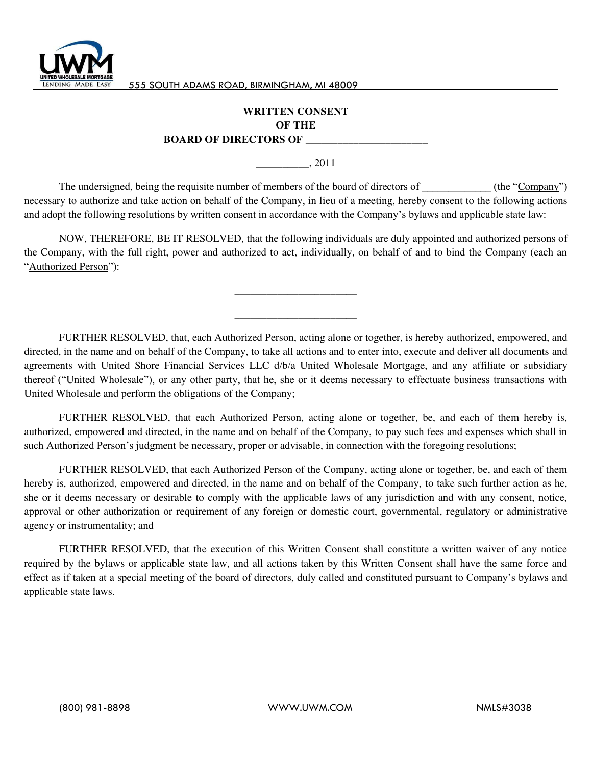

# **WRITTEN CONSENT OF THE BOARD OF DIRECTORS OF \_\_\_\_\_\_\_\_\_\_\_\_\_\_\_\_\_\_\_\_\_\_\_**

\_\_\_\_\_\_\_\_\_\_, 2011

The undersigned, being the requisite number of members of the board of directors of  $(the "Commony")$ necessary to authorize and take action on behalf of the Company, in lieu of a meeting, hereby consent to the following actions and adopt the following resolutions by written consent in accordance with the Company's bylaws and applicable state law:

 NOW, THEREFORE, BE IT RESOLVED, that the following individuals are duly appointed and authorized persons of the Company, with the full right, power and authorized to act, individually, on behalf of and to bind the Company (each an "Authorized Person"):

\_\_\_\_\_\_\_\_\_\_\_\_\_\_\_\_\_\_\_\_\_\_\_

\_\_\_\_\_\_\_\_\_\_\_\_\_\_\_\_\_\_\_\_\_\_\_

 FURTHER RESOLVED, that, each Authorized Person, acting alone or together, is hereby authorized, empowered, and directed, in the name and on behalf of the Company, to take all actions and to enter into, execute and deliver all documents and agreements with United Shore Financial Services LLC d/b/a United Wholesale Mortgage, and any affiliate or subsidiary thereof ("United Wholesale"), or any other party, that he, she or it deems necessary to effectuate business transactions with United Wholesale and perform the obligations of the Company;

FURTHER RESOLVED, that each Authorized Person, acting alone or together, be, and each of them hereby is, authorized, empowered and directed, in the name and on behalf of the Company, to pay such fees and expenses which shall in such Authorized Person's judgment be necessary, proper or advisable, in connection with the foregoing resolutions;

FURTHER RESOLVED, that each Authorized Person of the Company, acting alone or together, be, and each of them hereby is, authorized, empowered and directed, in the name and on behalf of the Company, to take such further action as he, she or it deems necessary or desirable to comply with the applicable laws of any jurisdiction and with any consent, notice, approval or other authorization or requirement of any foreign or domestic court, governmental, regulatory or administrative agency or instrumentality; and

FURTHER RESOLVED, that the execution of this Written Consent shall constitute a written waiver of any notice required by the bylaws or applicable state law, and all actions taken by this Written Consent shall have the same force and effect as if taken at a special meeting of the board of directors, duly called and constituted pursuant to Company's bylaws and applicable state laws.

 $\overline{a}$ 

 $\overline{\phantom{a}}$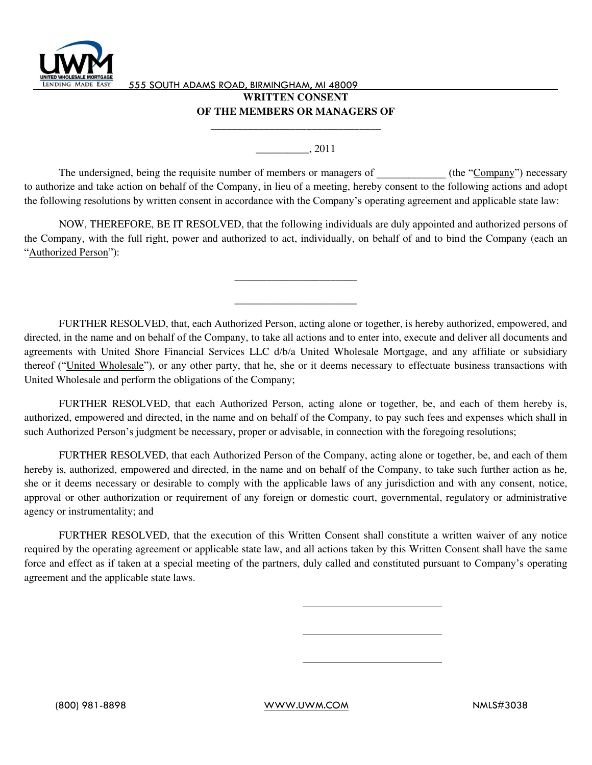

#### **WRITTEN CONSENT OF THE MEMBERS OR MANAGERS OF**

**\_\_\_\_\_\_\_\_\_\_\_\_\_\_\_\_\_\_\_\_\_\_\_\_\_\_\_\_\_\_\_\_** 

\_\_\_\_\_\_\_\_\_\_, 2011

The undersigned, being the requisite number of members or managers of  $($ the "Company") necessary to authorize and take action on behalf of the Company, in lieu of a meeting, hereby consent to the following actions and adopt the following resolutions by written consent in accordance with the Company's operating agreement and applicable state law:

 NOW, THEREFORE, BE IT RESOLVED, that the following individuals are duly appointed and authorized persons of the Company, with the full right, power and authorized to act, individually, on behalf of and to bind the Company (each an "Authorized Person"):

\_\_\_\_\_\_\_\_\_\_\_\_\_\_\_\_\_\_\_\_\_\_\_

\_\_\_\_\_\_\_\_\_\_\_\_\_\_\_\_\_\_\_\_\_\_\_

 FURTHER RESOLVED, that, each Authorized Person, acting alone or together, is hereby authorized, empowered, and directed, in the name and on behalf of the Company, to take all actions and to enter into, execute and deliver all documents and agreements with United Shore Financial Services LLC d/b/a United Wholesale Mortgage, and any affiliate or subsidiary thereof ("United Wholesale"), or any other party, that he, she or it deems necessary to effectuate business transactions with United Wholesale and perform the obligations of the Company;

FURTHER RESOLVED, that each Authorized Person, acting alone or together, be, and each of them hereby is, authorized, empowered and directed, in the name and on behalf of the Company, to pay such fees and expenses which shall in such Authorized Person's judgment be necessary, proper or advisable, in connection with the foregoing resolutions;

FURTHER RESOLVED, that each Authorized Person of the Company, acting alone or together, be, and each of them hereby is, authorized, empowered and directed, in the name and on behalf of the Company, to take such further action as he, she or it deems necessary or desirable to comply with the applicable laws of any jurisdiction and with any consent, notice, approval or other authorization or requirement of any foreign or domestic court, governmental, regulatory or administrative agency or instrumentality; and

FURTHER RESOLVED, that the execution of this Written Consent shall constitute a written waiver of any notice required by the operating agreement or applicable state law, and all actions taken by this Written Consent shall have the same force and effect as if taken at a special meeting of the partners, duly called and constituted pursuant to Company's operating agreement and the applicable state laws.

 $\overline{a}$ 

 $\overline{a}$ 

 $\overline{\phantom{a}}$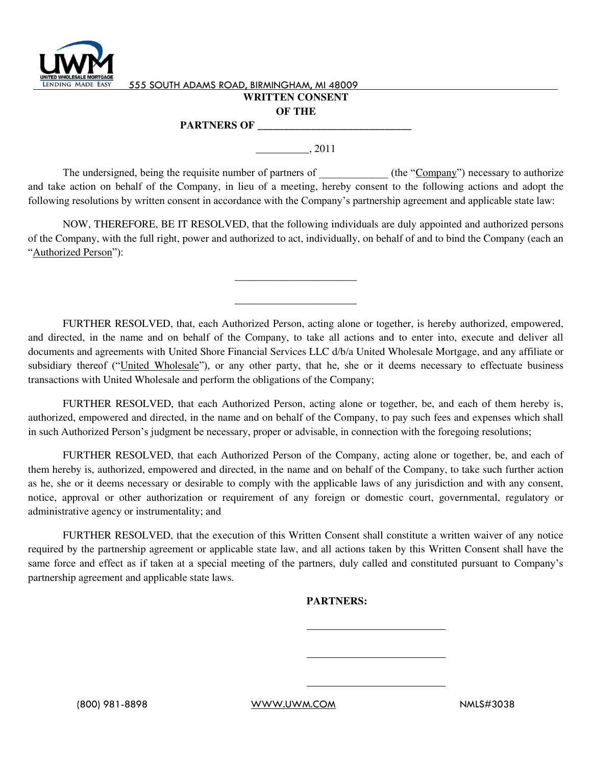

**WRITTEN CONSENT** 

#### **OF THE**

**PARTNERS OF \_\_\_\_\_\_\_\_\_\_\_\_\_\_\_\_\_\_\_\_\_\_\_\_\_\_\_\_\_** 

#### \_\_\_\_\_\_\_\_\_\_, 2011

The undersigned, being the requisite number of partners of  $($ the "Company") necessary to authorize and take action on behalf of the Company, in lieu of a meeting, hereby consent to the following actions and adopt the following resolutions by written consent in accordance with the Company's partnership agreement and applicable state law:

 NOW, THEREFORE, BE IT RESOLVED, that the following individuals are duly appointed and authorized persons of the Company, with the full right, power and authorized to act, individually, on behalf of and to bind the Company (each an "Authorized Person"):

\_\_\_\_\_\_\_\_\_\_\_\_\_\_\_\_\_\_\_\_\_\_\_

\_\_\_\_\_\_\_\_\_\_\_\_\_\_\_\_\_\_\_\_\_\_\_

 FURTHER RESOLVED, that, each Authorized Person, acting alone or together, is hereby authorized, empowered, and directed, in the name and on behalf of the Company, to take all actions and to enter into, execute and deliver all documents and agreements with United Shore Financial Services LLC d/b/a United Wholesale Mortgage, and any affiliate or subsidiary thereof ("United Wholesale"), or any other party, that he, she or it deems necessary to effectuate business transactions with United Wholesale and perform the obligations of the Company;

FURTHER RESOLVED, that each Authorized Person, acting alone or together, be, and each of them hereby is, authorized, empowered and directed, in the name and on behalf of the Company, to pay such fees and expenses which shall in such Authorized Person's judgment be necessary, proper or advisable, in connection with the foregoing resolutions;

FURTHER RESOLVED, that each Authorized Person of the Company, acting alone or together, be, and each of them hereby is, authorized, empowered and directed, in the name and on behalf of the Company, to take such further action as he, she or it deems necessary or desirable to comply with the applicable laws of any jurisdiction and with any consent, notice, approval or other authorization or requirement of any foreign or domestic court, governmental, regulatory or administrative agency or instrumentality; and

FURTHER RESOLVED, that the execution of this Written Consent shall constitute a written waiver of any notice required by the partnership agreement or applicable state law, and all actions taken by this Written Consent shall have the same force and effect as if taken at a special meeting of the partners, duly called and constituted pursuant to Company's partnership agreement and applicable state laws.

 $\overline{a}$ 

 $\overline{a}$ 

#### **PARTNERS:**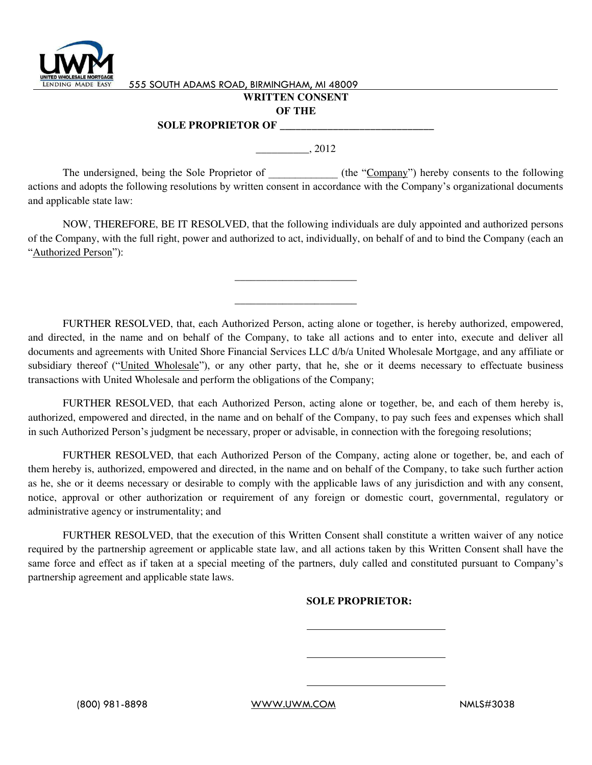

#### 555 SOUTH ADAMS ROAD, BIRMINGHAM, MI 48009 **WRITTEN CONSENT OF THE SOLE PROPRIETOR OF**

# $\frac{1}{2012}$ , 2012

The undersigned, being the Sole Proprietor of  $($ the "Company") hereby consents to the following actions and adopts the following resolutions by written consent in accordance with the Company's organizational documents and applicable state law:

 NOW, THEREFORE, BE IT RESOLVED, that the following individuals are duly appointed and authorized persons of the Company, with the full right, power and authorized to act, individually, on behalf of and to bind the Company (each an "Authorized Person"):

\_\_\_\_\_\_\_\_\_\_\_\_\_\_\_\_\_\_\_\_\_\_\_

\_\_\_\_\_\_\_\_\_\_\_\_\_\_\_\_\_\_\_\_\_\_\_

 FURTHER RESOLVED, that, each Authorized Person, acting alone or together, is hereby authorized, empowered, and directed, in the name and on behalf of the Company, to take all actions and to enter into, execute and deliver all documents and agreements with United Shore Financial Services LLC d/b/a United Wholesale Mortgage, and any affiliate or subsidiary thereof ("United Wholesale"), or any other party, that he, she or it deems necessary to effectuate business transactions with United Wholesale and perform the obligations of the Company;

FURTHER RESOLVED, that each Authorized Person, acting alone or together, be, and each of them hereby is, authorized, empowered and directed, in the name and on behalf of the Company, to pay such fees and expenses which shall in such Authorized Person's judgment be necessary, proper or advisable, in connection with the foregoing resolutions;

FURTHER RESOLVED, that each Authorized Person of the Company, acting alone or together, be, and each of them hereby is, authorized, empowered and directed, in the name and on behalf of the Company, to take such further action as he, she or it deems necessary or desirable to comply with the applicable laws of any jurisdiction and with any consent, notice, approval or other authorization or requirement of any foreign or domestic court, governmental, regulatory or administrative agency or instrumentality; and

FURTHER RESOLVED, that the execution of this Written Consent shall constitute a written waiver of any notice required by the partnership agreement or applicable state law, and all actions taken by this Written Consent shall have the same force and effect as if taken at a special meeting of the partners, duly called and constituted pursuant to Company's partnership agreement and applicable state laws.

 $\overline{a}$ 

 $\overline{a}$ 

 $\overline{a}$ 

#### **SOLE PROPRIETOR:**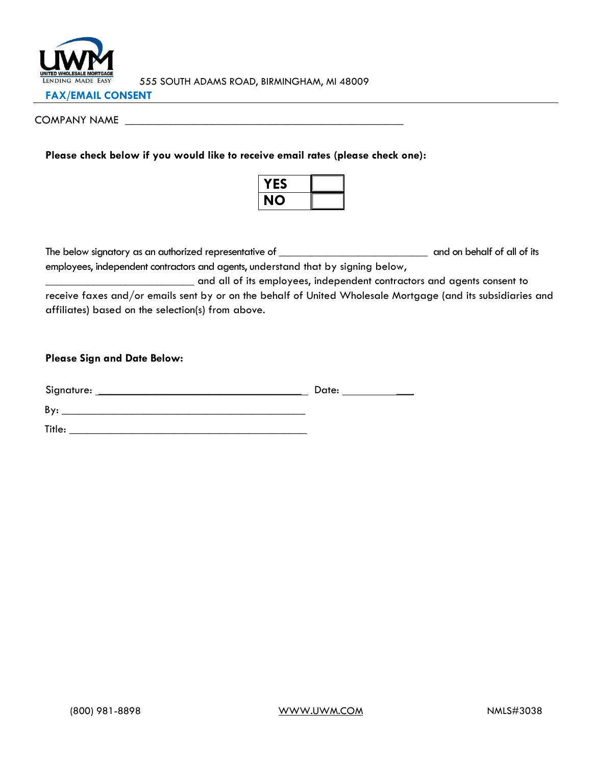

**FAX/EMAIL CONSENT**

#### COMPANY NAME \_\_\_\_\_\_\_\_\_\_\_\_\_\_\_\_\_\_\_\_\_\_\_\_\_\_\_\_\_\_\_\_\_\_\_\_\_\_\_\_\_\_\_\_\_\_\_\_

**Please check below if you would like to receive email rates (please check one):** 



The below signatory as an authorized representative of *\_\_\_\_\_\_\_\_\_\_\_\_\_\_\_\_\_\_\_\_\_\_\_\_\_\_\_\_* and on behalf of all of its employees, independent contractors and agents, understand that by signing below,

*\_\_\_\_\_\_\_\_\_\_\_\_\_\_\_\_\_\_\_\_\_\_\_\_\_\_\_\_* and all of its employees, independent contractors and agents consent to receive faxes and/or emails sent by or on the behalf of United Wholesale Mortgage (and its subsidiaries and affiliates) based on the selection(s) from above.

**Please Sign and Date Below:**

| Signature: | Date: |
|------------|-------|
|            |       |

 $By:$ Title: \_\_\_\_\_\_\_\_\_\_\_\_\_\_\_\_\_\_\_\_\_\_\_\_\_\_\_\_\_\_\_\_\_\_\_\_\_\_\_\_\_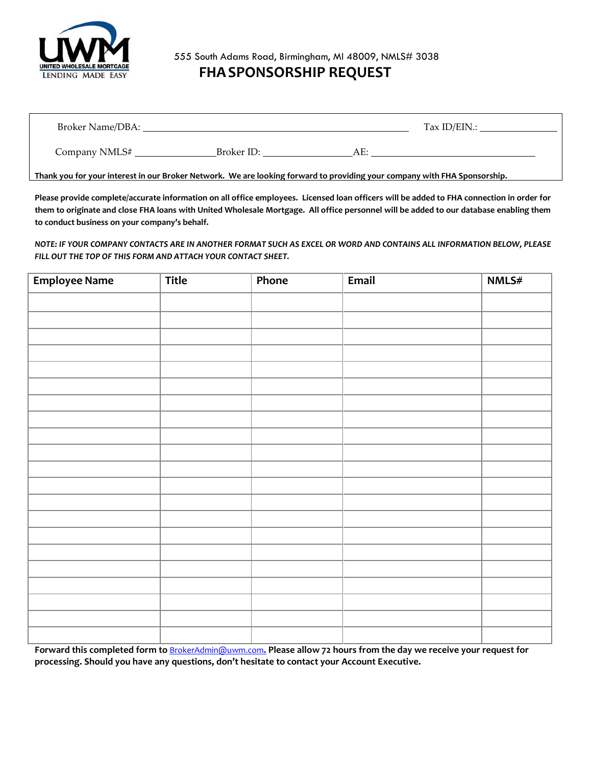

# 555 South Adams Road, Birmingham, MI 48009, NMLS# 3038 **FHASPONSORSHIP REQUEST**

| Broker Name/DBA: |            |     | Tax $ID/EIN.:$ |
|------------------|------------|-----|----------------|
| Company NMLS#    | Broker ID: | AE: |                |

**Thank you for your interest in our Broker Network. We are looking forward to providing your company with FHA Sponsorship.**

**Please provide complete/accurate information on all office employees. Licensed loan officers will be added to FHA connection in order for them to originate and close FHA loans with United Wholesale Mortgage. All office personnel will be added to our database enabling them to conduct business on your company's behalf.**

*NOTE: IF YOUR COMPANY CONTACTS ARE IN ANOTHER FORMAT SUCH AS EXCEL OR WORD AND CONTAINS ALL INFORMATION BELOW, PLEASE FILL OUT THE TOP OF THIS FORM AND ATTACH YOUR CONTACT SHEET.*

| <b>Employee Name</b> | <b>Title</b> | Phone | Email | NMLS# |
|----------------------|--------------|-------|-------|-------|
|                      |              |       |       |       |
|                      |              |       |       |       |
|                      |              |       |       |       |
|                      |              |       |       |       |
|                      |              |       |       |       |
|                      |              |       |       |       |
|                      |              |       |       |       |
|                      |              |       |       |       |
|                      |              |       |       |       |
|                      |              |       |       |       |
|                      |              |       |       |       |
|                      |              |       |       |       |
|                      |              |       |       |       |
|                      |              |       |       |       |
|                      |              |       |       |       |
|                      |              |       |       |       |
|                      |              |       |       |       |
|                      |              |       |       |       |
|                      |              |       |       |       |
|                      |              |       |       |       |
|                      |              |       |       |       |

**Forward this completed form to** [BrokerAdmin@uwm.com](mailto:BrokerAdmin@uwm.com)**. Please allow 72 hours from the day we receive your request for processing. Should you have any questions, don't hesitate to contact your Account Executive.**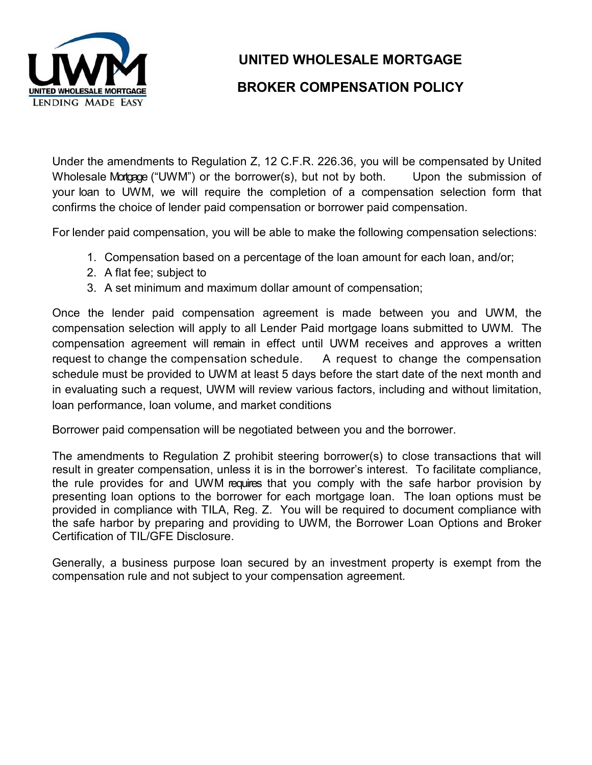

# **UNITED WHOLESALE MORTGAGE**

# **BROKER COMPENSATION POLICY**

Under the amendments to Regulation Z, 12 C.F.R. 226.36, you will be compensated by United Wholesale Mortgage ("UWM") or the borrower(s), but not by both. Upon the submission of your loan to UWM, we will require the completion of a compensation selection form that confirms the choice of lender paid compensation or borrower paid compensation.

For lender paid compensation, you will be able to make the following compensation selections:

- 1. Compensation based on a percentage of the loan amount for each loan, and/or;
- 2. A flat fee; subject to
- 3. A set minimum and maximum dollar amount of compensation;

Once the lender paid compensation agreement is made between you and UWM, the compensation selection will apply to all Lender Paid mortgage loans submitted to UWM. The compensation agreement will remain in effect until UWM receives and approves a written request to change the compensation schedule. A request to change the compensation schedule must be provided to UWM at least 5 days before the start date of the next month and in evaluating such a request, UWM will review various factors, including and without limitation, loan performance, loan volume, and market conditions

Borrower paid compensation will be negotiated between you and the borrower.

The amendments to Regulation Z prohibit steering borrower(s) to close transactions that will result in greater compensation, unless it is in the borrower's interest. To facilitate compliance, the rule provides for and UWM requires that you comply with the safe harbor provision by presenting loan options to the borrower for each mortgage loan. The loan options must be provided in compliance with TILA, Reg. Z. You will be required to document compliance with the safe harbor by preparing and providing to UWM, the Borrower Loan Options and Broker Certification of TIL/GFE Disclosure.

Generally, a business purpose loan secured by an investment property is exempt from the compensation rule and not subject to your compensation agreement.